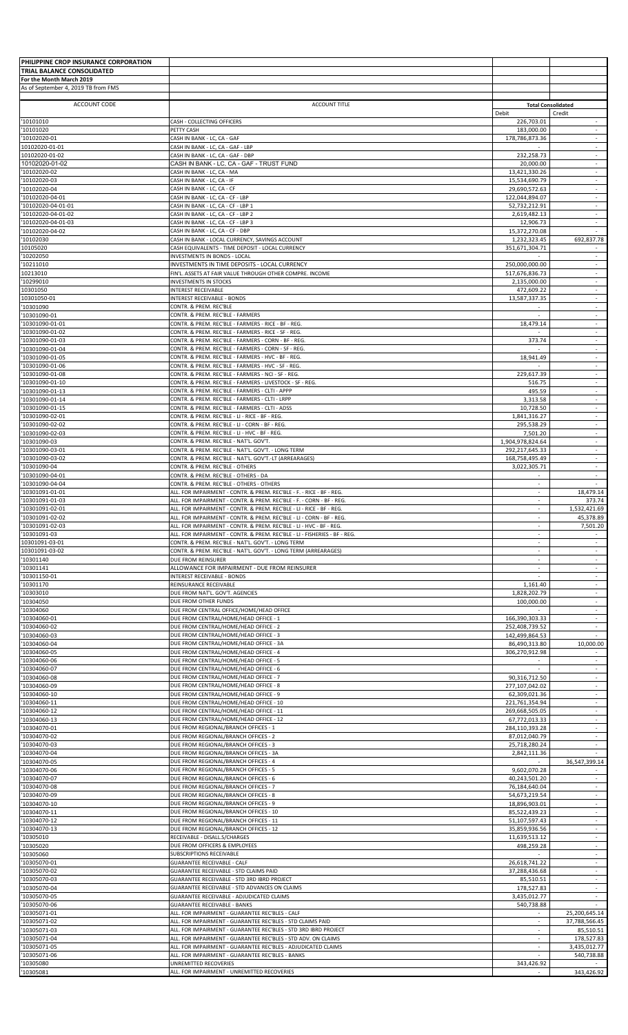| PHILIPPINE CROP INSURANCE CORPORATION                  |                                                                                                                                                  |                                  |                                                      |
|--------------------------------------------------------|--------------------------------------------------------------------------------------------------------------------------------------------------|----------------------------------|------------------------------------------------------|
| TRIAL BALANCE CONSOLIDATED<br>For the Month March 2019 |                                                                                                                                                  |                                  |                                                      |
| As of September 4, 2019 TB from FMS                    |                                                                                                                                                  |                                  |                                                      |
| ACCOUNT CODE                                           | <b>ACCOUNT TITLE</b>                                                                                                                             |                                  | <b>Total Consolidated</b>                            |
| '10101010                                              | CASH - COLLECTING OFFICERS                                                                                                                       | Debit<br>226,703.01              | Credit<br>$\sim$                                     |
| '10101020<br>'10102020-01                              | PETTY CASH<br>CASH IN BANK - LC, CA - GAF                                                                                                        | 183,000.00<br>178,786,873.36     | $\sim$<br>$\sim$                                     |
| 10102020-01-01                                         | CASH IN BANK - LC, CA - GAF - LBP                                                                                                                |                                  | $\overline{\phantom{a}}$                             |
| 10102020-01-02<br>10102020-01-02                       | CASH IN BANK - LC, CA - GAF - DBP<br>CASH IN BANK - LC, CA - GAF - TRUST FUND                                                                    | 232,258.73<br>20,000.00          | $\sim$                                               |
| '10102020-02                                           | CASH IN BANK - LC, CA - MA                                                                                                                       | 13,421,330.26                    | $\omega$                                             |
| '10102020-03<br>'10102020-04                           | CASH IN BANK - LC, CA - IF<br>CASH IN BANK - LC, CA - CF                                                                                         | 15,534,690.79<br>29,690,572.63   | $\overline{\phantom{a}}$<br>$\sim$                   |
| '10102020-04-01<br>'10102020-04-01-01                  | CASH IN BANK - LC, CA - CF - LBP<br>CASH IN BANK - LC, CA - CF - LBP 1                                                                           | 122,044,894.07<br>52,732,212.91  | $\overline{\phantom{a}}$<br>$\sim$                   |
| '10102020-04-01-02                                     | CASH IN BANK - LC, CA - CF - LBP 2                                                                                                               | 2,619,482.13                     | $\overline{\phantom{a}}$                             |
| '10102020-04-01-03<br>'10102020-04-02                  | CASH IN BANK - LC, CA - CF - LBP 3<br>CASH IN BANK - LC, CA - CF - DBP                                                                           | 12,906.73<br>15,372,270.08       | ÷                                                    |
| '10102030                                              | CASH IN BANK - LOCAL CURRENCY, SAVINGS ACCOUNT                                                                                                   | 1,232,323.45                     | 692,837.78                                           |
| 10105020<br>'10202050                                  | CASH EQUIVALENTS - TIME DEPOSIT - LOCAL CURRENCY<br><b>INVESTMENTS IN BONDS - LOCAL</b>                                                          | 351,671,304.71                   | $\overline{\phantom{a}}$<br>$\overline{\phantom{a}}$ |
| '10211010<br>10213010                                  | INVESTMENTS IN TIME DEPOSITS - LOCAL CURRENCY                                                                                                    | 250,000,000.00                   | $\omega$                                             |
| '10299010                                              | FIN'L. ASSETS AT FAIR VALUE THROUGH OTHER COMPRE. INCOME<br><b>INVESTMENTS IN STOCKS</b>                                                         | 517,676,836.73<br>2,135,000.00   | $\overline{\phantom{a}}$<br>$\sim$                   |
| 10301050<br>10301050-01                                | <b>INTEREST RECEIVABLE</b><br>INTEREST RECEIVABLE - BONDS                                                                                        | 472,609.22<br>13,587,337.35      | $\overline{\phantom{a}}$<br>$\sim$                   |
| '10301090                                              | CONTR. & PREM. REC'BLE                                                                                                                           |                                  | $\overline{\phantom{a}}$                             |
| '10301090-01<br>'10301090-01-01                        | CONTR. & PREM. REC'BLE - FARMERS<br>CONTR. & PREM. REC'BLE - FARMERS - RICE - BF - REG.                                                          | $\sim$<br>18,479.14              | $\sim$<br>$\overline{\phantom{a}}$                   |
| '10301090-01-02                                        | CONTR. & PREM. REC'BLE - FARMERS - RICE - SF - REG.                                                                                              |                                  | $\overline{\phantom{a}}$                             |
| '10301090-01-03<br>'10301090-01-04                     | CONTR. & PREM. REC'BLE - FARMERS - CORN - BF - REG.<br>CONTR. & PREM. REC'BLE - FARMERS - CORN - SF - REG.                                       | 373.74                           | $\sim$<br>$\overline{\phantom{a}}$                   |
| '10301090-01-05                                        | CONTR. & PREM. REC'BLE - FARMERS - HVC - BF - REG.                                                                                               | 18,941.49                        | $\omega$                                             |
| '10301090-01-06<br>'10301090-01-08                     | CONTR. & PREM. REC'BLE - FARMERS - HVC - SF - REG.<br>CONTR. & PREM. REC'BLE - FARMERS - NCI - SF - REG.                                         | 229,617.39                       | $\sim$<br>$\overline{\phantom{a}}$                   |
| '10301090-01-10                                        | CONTR. & PREM. REC'BLE - FARMERS - LIVESTOCK - SF - REG.                                                                                         | 516.75                           | $\overline{\phantom{a}}$                             |
| '10301090-01-13<br>'10301090-01-14                     | CONTR. & PREM. REC'BLE - FARMERS - CLTI - APPP<br>CONTR. & PREM. REC'BLE - FARMERS - CLTI - LRPP                                                 | 495.59<br>3,313.58               | $\omega$<br>$\overline{\phantom{a}}$                 |
| '10301090-01-15<br>'10301090-02-01                     | CONTR. & PREM. REC'BLE - FARMERS - CLTI - ADSS<br>CONTR. & PREM. REC'BLE - LI - RICE - BF - REG.                                                 | 10,728.50<br>1,841,316.27        | $\sim$<br>$\overline{\phantom{a}}$                   |
| '10301090-02-02                                        | CONTR. & PREM. REC'BLE - LI - CORN - BF - REG.                                                                                                   | 295,538.29                       | $\omega$                                             |
| '10301090-02-03<br>'10301090-03                        | CONTR. & PREM. REC'BLE - LI - HVC - BF - REG.<br>CONTR. & PREM. REC'BLE - NAT'L. GOV'T.                                                          | 7,501.20<br>1,904,978,824.64     | $\overline{\phantom{a}}$<br>$\sim$                   |
| '10301090-03-01                                        | CONTR. & PREM. REC'BLE - NAT'L. GOV'T. - LONG TERM                                                                                               | 292,217,645.33                   |                                                      |
| '10301090-03-02<br>'10301090-04                        | CONTR. & PREM. REC'BLE - NAT'L. GOV'T.-LT (ARREARAGES)<br>CONTR. & PREM. REC'BLE - OTHERS                                                        | 168,758,495.49<br>3,022,305.71   | $\sim$<br>$\overline{\phantom{a}}$                   |
| '10301090-04-01                                        | CONTR. & PREM. REC'BLE - OTHERS - DA                                                                                                             |                                  | $\sim$                                               |
| '10301090-04-04<br>'10301091-01-01                     | CONTR. & PREM. REC'BLE - OTHERS - OTHERS<br>ALL. FOR IMPAIRMENT - CONTR. & PREM. REC'BLE - F. - RICE - BF - REG.                                 | $\sim$<br>$\sim$                 | 18,479.14                                            |
| '10301091-01-03<br>'10301091-02-01                     | ALL. FOR IMPAIRMENT - CONTR. & PREM. REC'BLE - F. - CORN - BF - REG.<br>ALL. FOR IMPAIRMENT - CONTR. & PREM. REC'BLE - LI - RICE - BF - REG.     | $\sim$                           | 373.74<br>1,532,421.69                               |
| '10301091-02-02                                        | ALL. FOR IMPAIRMENT - CONTR. & PREM. REC'BLE - LI - CORN - BF - REG.                                                                             |                                  | 45,378.89                                            |
| '10301091-02-03<br>'10301091-03                        | ALL. FOR IMPAIRMENT - CONTR. & PREM. REC'BLE - LI - HVC - BF - REG.<br>ALL. FOR IMPAIRMENT - CONTR. & PREM. REC'BLE - LI - FISHERIES - BF - REG. | $\sim$<br>$\sim$                 | 7,501.20                                             |
| 10301091-03-01                                         | CONTR. & PREM. REC'BLE - NAT'L. GOV'T. - LONG TERM                                                                                               |                                  |                                                      |
| 10301091-03-02<br>'10301140                            | CONTR. & PREM. REC'BLE - NAT'L. GOV'T. - LONG TERM (ARREARAGES)<br>DUE FROM REINSURER                                                            | $\mathcal{L}$                    | $\sim$                                               |
| '10301141                                              | ALLOWANCE FOR IMPAIRMENT - DUE FROM REINSURER                                                                                                    | $\sim$                           | $\sim$                                               |
| '10301150-01<br>'10301170                              | INTEREST RECEIVABLE - BONDS<br>REINSURANCE RECEIVABLE                                                                                            | 1,161.40                         | $\sim$                                               |
| '10303010<br>'10304050                                 | DUE FROM NAT'L. GOV'T. AGENCIES<br>DUE FROM OTHER FUNDS                                                                                          | 1,828,202.79                     | $\sim$<br>$\overline{\phantom{a}}$                   |
| '10304060                                              | DUE FROM CENTRAL OFFICE/HOME/HEAD OFFICE                                                                                                         | 100,000.00                       | $\omega$                                             |
| '10304060-01<br>'10304060-02                           | DUE FROM CENTRAL/HOME/HEAD OFFICE - 1<br>DUE FROM CENTRAL/HOME/HEAD OFFICE - 2                                                                   | 166,390,303.33<br>252,408,739.52 | $\sim$<br>$\sim$                                     |
| '10304060-03                                           | DUE FROM CENTRAL/HOME/HEAD OFFICE - 3                                                                                                            | 142,499,864.53                   |                                                      |
| '10304060-04<br>'10304060-05                           | DUE FROM CENTRAL/HOME/HEAD OFFICE - 3A<br>DUE FROM CENTRAL/HOME/HEAD OFFICE - 4                                                                  | 86,490,313.80<br>306,270,912.98  | 10,000.00                                            |
| '10304060-06                                           | DUE FROM CENTRAL/HOME/HEAD OFFICE - 5                                                                                                            | $\sim$                           | $\sim$                                               |
| '10304060-07<br>'10304060-08                           | DUE FROM CENTRAL/HOME/HEAD OFFICE - 6<br>DUE FROM CENTRAL/HOME/HEAD OFFICE - 7                                                                   | 90,316,712.50                    | $\omega$                                             |
| '10304060-09                                           | DUE FROM CENTRAL/HOME/HEAD OFFICE - 8                                                                                                            | 277,107,042.02                   | $\overline{\phantom{a}}$                             |
| '10304060-10<br>'10304060-11                           | DUE FROM CENTRAL/HOME/HEAD OFFICE - 9<br>DUE FROM CENTRAL/HOME/HEAD OFFICE - 10                                                                  | 62,309,021.36<br>221,761,354.94  | $\sim$                                               |
| '10304060-12<br>'10304060-13                           | DUE FROM CENTRAL/HOME/HEAD OFFICE - 11<br>DUE FROM CENTRAL/HOME/HEAD OFFICE - 12                                                                 | 269,668,505.05<br>67,772,013.33  | $\sim$<br>$\overline{\phantom{a}}$                   |
| '10304070-01                                           | DUE FROM REGIONAL/BRANCH OFFICES - 1                                                                                                             | 284,110,393.28                   | $\sim$                                               |
| '10304070-02<br>'10304070-03                           | DUE FROM REGIONAL/BRANCH OFFICES - 2<br>DUE FROM REGIONAL/BRANCH OFFICES - 3                                                                     | 87,012,040.79<br>25,718,280.24   | $\omega$<br>$\sim$                                   |
| '10304070-04                                           | DUE FROM REGIONAL/BRANCH OFFICES - 3A                                                                                                            | 2,842,111.36                     | $\sim$                                               |
| '10304070-05<br>'10304070-06                           | DUE FROM REGIONAL/BRANCH OFFICES - 4<br>DUE FROM REGIONAL/BRANCH OFFICES - 5                                                                     | 9,602,070.28                     | 36,547,399.14                                        |
| '10304070-07                                           | DUE FROM REGIONAL/BRANCH OFFICES - 6                                                                                                             | 40,243,501.20                    | $\sim$<br>$\overline{\phantom{a}}$                   |
| '10304070-08<br>'10304070-09                           | DUE FROM REGIONAL/BRANCH OFFICES - 7<br>DUE FROM REGIONAL/BRANCH OFFICES - 8                                                                     | 76,184,640.04<br>54,673,219.54   | $\overline{\phantom{a}}$                             |
| '10304070-10<br>'10304070-11                           | DUE FROM REGIONAL/BRANCH OFFICES - 9<br>DUE FROM REGIONAL/BRANCH OFFICES - 10                                                                    | 18,896,903.01<br>85,522,439.23   | $\sim$                                               |
| '10304070-12                                           | DUE FROM REGIONAL/BRANCH OFFICES - 11                                                                                                            | 51,107,597.43                    | $\sim$                                               |
| '10304070-13<br>'10305010                              | DUE FROM REGIONAL/BRANCH OFFICES - 12<br>RECEIVABLE - DISALL.S/CHARGES                                                                           | 35,859,936.56<br>11,639,513.12   | $\omega$                                             |
| '10305020                                              | DUE FROM OFFICERS & EMPLOYEES                                                                                                                    | 498,259.28                       | $\overline{\phantom{a}}$                             |
| '10305060<br>'10305070-01                              | SUBSCRIPTIONS RECEIVABLE<br><b>GUARANTEE RECEIVABLE - CALF</b>                                                                                   | 26,618,741.22                    | $\overline{\phantom{a}}$<br>$\blacksquare$           |
| '10305070-02                                           | GUARANTEE RECEIVABLE - STD CLAIMS PAID<br>GUARANTEE RECEIVABLE - STD 3RD IBRD PROJECT                                                            | 37,288,436.68                    | $\sim$                                               |
| '10305070-03<br>'10305070-04                           | GUARANTEE RECEIVABLE - STD ADVANCES ON CLAIMS                                                                                                    | 85,510.51<br>178,527.83          | $\sim$                                               |
| '10305070-05<br>'10305070-06                           | GUARANTEE RECEIVABLE - ADJUDICATED CLAIMS<br><b>GUARANTEE RECEIVABLE - BANKS</b>                                                                 | 3,435,012.77<br>540,738.88       | ÷                                                    |
| '10305071-01                                           | ALL. FOR IMPAIRMENT - GUARANTEE REC'BLES - CALF                                                                                                  | $\sim$                           | 25,200,645.14                                        |
| '10305071-02<br>'10305071-03                           | ALL. FOR IMPAIRMENT - GUARANTEE REC'BLES - STD CLAIMS PAID<br>ALL. FOR IMPAIRMENT - GUARANTEE REC'BLES - STD 3RD IBRD PROJECT                    | $\sim$                           | 37,788,566.45<br>85,510.51                           |
| '10305071-04                                           | ALL. FOR IMPAIRMENT - GUARANTEE REC'BLES - STD ADV. ON CLAIMS                                                                                    | $\overline{\phantom{a}}$         | 178,527.83                                           |
| '10305071-05<br>'10305071-06                           | ALL. FOR IMPAIRMENT - GUARANTEE REC'BLES - ADJUDICATED CLAIMS<br>ALL. FOR IMPAIRMENT - GUARANTEE REC'BLES - BANKS                                | $\sim$                           | 3,435,012.77<br>540,738.88                           |
| '10305080                                              | <b>UNREMITTED RECOVERIES</b><br>ALL. FOR IMPAIRMENT - UNREMITTED RECOVERIES                                                                      | 343,426.92<br>$\sim$             | 343.426.92                                           |
| '10305081                                              |                                                                                                                                                  |                                  |                                                      |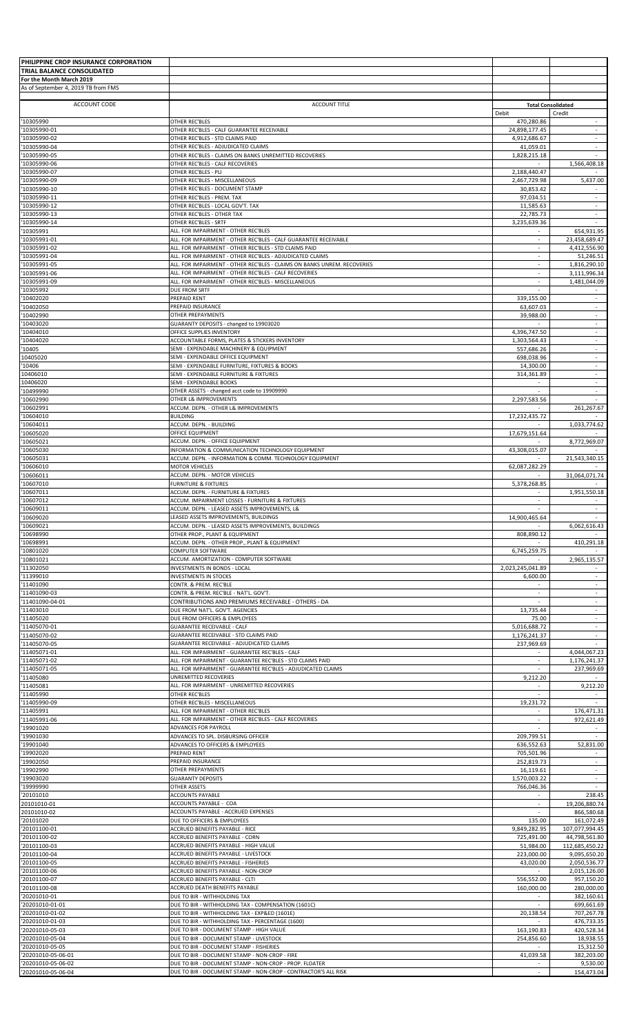| PHILIPPINE CROP INSURANCE CORPORATION                  |                                                                                                                                    |                              |                                    |
|--------------------------------------------------------|------------------------------------------------------------------------------------------------------------------------------------|------------------------------|------------------------------------|
| TRIAL BALANCE CONSOLIDATED<br>For the Month March 2019 |                                                                                                                                    |                              |                                    |
| As of September 4, 2019 TB from FMS                    |                                                                                                                                    |                              |                                    |
| ACCOUNT CODE                                           | <b>ACCOUNT TITLE</b>                                                                                                               | <b>Total Consolidated</b>    |                                    |
|                                                        |                                                                                                                                    | Debit                        | Credit                             |
| '10305990<br>'10305990-01                              | <b>OTHER REC'BLES</b><br>OTHER REC'BLES - CALF GUARANTEE RECEIVABLE                                                                | 470,280.86<br>24,898,177.45  | $\sim$                             |
| 10305990-02                                            | OTHER REC'BLES - STD CLAIMS PAID                                                                                                   | 4,912,686.67                 | $\sim$<br>$\overline{\phantom{a}}$ |
| 10305990-04<br>10305990-05                             | OTHER REC'BLES - ADJUDICATED CLAIMS<br>OTHER REC'BLES - CLAIMS ON BANKS UNREMITTED RECOVERIES                                      | 41,059.01<br>1,828,215.18    | $\sim$                             |
| 10305990-06<br>10305990-07                             | OTHER REC'BLES - CALF RECOVERIES<br>OTHER REC'BLES - PLI                                                                           | 2,188,440.47                 | 1,566,408.18                       |
| 10305990-09                                            | OTHER REC'BLES - MISCELLANEOUS                                                                                                     | 2,467,729.98                 | 5,437.00                           |
| 10305990-10<br>10305990-11                             | OTHER REC'BLES - DOCUMENT STAMP<br>OTHER REC'BLES - PREM. TAX                                                                      | 30,853.42<br>97.034.51       | $\overline{\phantom{a}}$           |
| 10305990-12                                            | OTHER REC'BLES - LOCAL GOV'T. TAX                                                                                                  | 11,585.63                    | $\sim$                             |
| 10305990-13<br>10305990-14                             | OTHER REC'BLES - OTHER TAX<br>OTHER REC'BLES - SRTF                                                                                | 22,785.73<br>3,235,639.36    | $\sim$                             |
| '10305991                                              | ALL. FOR IMPAIRMENT - OTHER REC'BLES                                                                                               |                              | 654,931.95                         |
| 10305991-01<br>10305991-02                             | ALL. FOR IMPAIRMENT - OTHER REC'BLES - CALF GUARANTEE RECEIVABLE<br>ALL. FOR IMPAIRMENT - OTHER REC'BLES - STD CLAIMS PAID         | ×.<br>$\sim$                 | 23,458,689.47<br>4,412,556.90      |
| 10305991-04                                            | ALL. FOR IMPAIRMENT - OTHER REC'BLES - ADJUDICATED CLAIMS                                                                          | $\omega$                     | 51,246.51                          |
| '10305991-05<br>10305991-06                            | ALL. FOR IMPAIRMENT - OTHER REC'BLES - CLAIMS ON BANKS UNREM. RECOVERIES<br>ALL. FOR IMPAIRMENT - OTHER REC'BLES - CALF RECOVERIES | $\sim$                       | 1,816,290.10<br>3,111,996.34       |
| 10305991-09<br>10305992                                | ALL. FOR IMPAIRMENT - OTHER REC'BLES - MISCELLANEOUS<br>DUE FROM SRTF                                                              | $\sim$                       | 1,481,044.09                       |
| 10402020                                               | PREPAID RENT                                                                                                                       | 339,155.00                   | $\sim$                             |
| 10402050<br>10402990                                   | PREPAID INSURANCE<br><b>OTHER PREPAYMENTS</b>                                                                                      | 63,607.03<br>39,988.00       | $\sim$                             |
| 10403020                                               | GUARANTY DEPOSITS - changed to 19903020                                                                                            |                              |                                    |
| 10404010<br>10404020                                   | OFFICE SUPPLIES INVENTORY<br>ACCOUNTABLE FORMS, PLATES & STICKERS INVENTORY                                                        | 4.396.747.50<br>1,303,564.43 | $\sim$<br>$\overline{\phantom{a}}$ |
| 10405                                                  | SEMI - EXPENDABLE MACHINERY & EQUIPMENT                                                                                            | 557,686.26                   |                                    |
| 10405020<br>10406                                      | SEMI - EXPENDABLE OFFICE EQUIPMENT<br>SEMI - EXPENDABLE FURNITURE, FIXTURES & BOOKS                                                | 698,038.96<br>14,300.00      | $\omega$<br>$\sim$                 |
| 10406010                                               | SEMI - EXPENDABLE FURNITURE & FIXTURES                                                                                             | 314,361.89                   | $\sim$                             |
| 10406020<br>10499990                                   | SEMI - EXPENDABLE BOOKS<br>OTHER ASSETS - changed acct code to 19909990                                                            | $\sim$                       | $\sim$                             |
| 10602990                                               | OTHER L& IMPROVEMENTS                                                                                                              | 2,297,583.56                 | $\sim$                             |
| 10602991<br>10604010                                   | ACCUM. DEPN. - OTHER L& IMPROVEMENTS<br><b>BUILDING</b>                                                                            | $\sim$<br>17,232,435.72      | 261,267.67                         |
| 10604011                                               | ACCUM. DEPN. - BUILDING                                                                                                            |                              | 1,033,774.62                       |
| 10605020<br>10605021                                   | OFFICE EQUIPMENT<br>ACCUM. DEPN. - OFFICE EQUIPMENT                                                                                | 17,679,151.64                | 8,772,969.07                       |
| 10605030<br>10605031                                   | INFORMATION & COMMUNICATION TECHNOLOGY EQUIPMENT<br>ACCUM. DEPN. - INFORMATION & COMM. TECHNOLOGY EQUIPMENT                        | 43,308,015.07                | 21,543,340.15                      |
| 10606010                                               | <b>MOTOR VEHICLES</b>                                                                                                              | 62,087,282.29                |                                    |
| 10606011<br>10607010                                   | ACCUM. DEPN. - MOTOR VEHICLES<br><b>FURNITURE &amp; FIXTURES</b>                                                                   | 5,378,268.85                 | 31,064,071.74                      |
| 10607011                                               | ACCUM. DEPN. - FURNITURE & FIXTURES                                                                                                |                              | 1,951,550.18                       |
| 10607012<br>'10609011                                  | ACCUM. IMPAIRMENT LOSSES - FURNITURE & FIXTURES<br>ACCUM. DEPN. - LEASED ASSETS IMPROVEMENTS, L&                                   | $\sim$<br>$\sim$             |                                    |
| '10609020                                              | LEASED ASSETS IMPROVEMENTS, BUILDINGS                                                                                              | 14,900,465.64                |                                    |
| '10609021<br>'10698990                                 | ACCUM. DEPN. - LEASED ASSETS IMPROVEMENTS, BUILDINGS<br>OTHER PROP., PLANT & EQUIPMENT                                             | 808,890.12                   | 6,062,616.43                       |
| '10698991                                              | ACCUM. DEPN. - OTHER PROP., PLANT & EQUIPMENT                                                                                      |                              | 410,291.18                         |
| 10801020<br>10801021                                   | COMPUTER SOFTWARE<br>ACCUM. AMORTIZATION - COMPUTER SOFTWARE                                                                       | 6,745,259.75                 | 2,965,135.57                       |
| '11302050<br>'11399010                                 | INVESTMENTS IN BONDS - LOCAL<br><b>INVESTMENTS IN STOCKS</b>                                                                       | 2,023,245,041.89             | $\sim$                             |
| '11401090                                              | CONTR. & PREM. REC'BLE                                                                                                             | 6,600.00                     | $\sim$                             |
| '11401090-03<br>'11401090-04-01                        | CONTR. & PREM. REC'BLE - NAT'L. GOV'T.<br>CONTRIBUTIONS AND PREMIUMS RECEIVABLE - OTHERS - DA                                      | $\sim$                       | $\sim$                             |
| '11403010                                              | DUE FROM NAT'L. GOV'T. AGENCIES                                                                                                    | 13.735.44                    | $\sim$                             |
| '11405020<br>'11405070-01                              | DUE FROM OFFICERS & EMPLOYEES<br><b>GUARANTEE RECEIVABLE - CALF</b>                                                                | 75.00<br>5,016,688.72        | $\sim$<br>$\sim$                   |
| '11405070-02                                           | GUARANTEE RECEIVABLE - STD CLAIMS PAID                                                                                             | 1,176,241.37                 |                                    |
| '11405070-05<br>'11405071-01                           | GUARANTEE RECEIVABLE - ADJUDICATED CLAIMS<br>ALL. FOR IMPAIRMENT - GUARANTEE REC'BLES - CALF                                       | 237,969.69                   | 4,044,067.23                       |
| '11405071-02                                           | ALL. FOR IMPAIRMENT - GUARANTEE REC'BLES - STD CLAIMS PAID                                                                         | $\sim$                       | 1,176,241.37                       |
| '11405071-05<br>'11405080                              | ALL. FOR IMPAIRMENT - GUARANTEE REC'BLES - ADJUDICATED CLAIMS<br>UNREMITTED RECOVERIES                                             | 9,212.20                     | 237,969.69                         |
| '11405081<br>'11405990                                 | ALL. FOR IMPAIRMENT - UNREMITTED RECOVERIES                                                                                        |                              | 9,212.20                           |
| '11405990-09                                           | OTHER REC'BLES<br>OTHER REC'BLES - MISCELLANEOUS                                                                                   | 19,231.72                    |                                    |
| '11405991<br>'11405991-06                              | ALL. FOR IMPAIRMENT - OTHER REC'BLES<br>ALL. FOR IMPAIRMENT - OTHER REC'BLES - CALF RECOVERIES                                     | $\sim$                       | 176,471.31<br>972,621.49           |
| '19901020                                              | ADVANCES FOR PAYROLL                                                                                                               |                              |                                    |
| '19901030<br>19901040                                  | ADVANCES TO SPL. DISBURSING OFFICER<br>ADVANCES TO OFFICERS & EMPLOYEES                                                            | 209,799.51<br>636,552.63     | 52,831.00                          |
| '19902020                                              | PREPAID RENT                                                                                                                       | 705,501.96                   |                                    |
| 19902050<br>'19902990                                  | PREPAID INSURANCE<br>OTHER PREPAYMENTS                                                                                             | 252,819.73<br>16,119.61      | $\sim$                             |
| '19903020                                              | <b>GUARANTY DEPOSITS</b>                                                                                                           | 1,570,003.22                 | $\sim$                             |
| 19999990<br>'20101010                                  | OTHER ASSETS<br><b>ACCOUNTS PAYABLE</b>                                                                                            | 766,046.36                   | 238.45                             |
| 20101010-01<br>20101010-02                             | ACCOUNTS PAYABLE - COA                                                                                                             | $\sim$                       | 19,206,880.74                      |
| '20101020                                              | ACCOUNTS PAYABLE - ACCRUED EXPENSES<br>DUE TO OFFICERS & EMPLOYEES                                                                 | 135.00                       | 866,580.68<br>161,072.49           |
| '20101100-01<br>'20101100-02                           | ACCRUED BENEFITS PAYABLE - RICE<br>ACCRUED BENEFITS PAYABLE - CORN                                                                 | 9,849,282.95<br>725,491.00   | 107,077,994.45<br>44,798,561.80    |
| '20101100-03                                           | ACCRUED BENEFITS PAYABLE - HIGH VALUE                                                                                              | 51,984.00                    | 112,685,450.22                     |
| 20101100-04<br>'20101100-05                            | ACCRUED BENEFITS PAYABLE - LIVESTOCK<br>ACCRUED BENEFITS PAYABLE - FISHERIES                                                       | 223,000.00<br>43,020.00      | 9,095,650.20<br>2,050,536.77       |
| '20101100-06                                           | ACCRUED BENEFITS PAYABLE - NON-CROP                                                                                                |                              | 2,015,126.00                       |
| '20101100-07<br>'20101100-08                           | ACCRUED BENEFITS PAYABLE - CLTI<br>ACCRUED DEATH BENEFITS PAYABLE                                                                  | 556,552.00<br>160,000.00     | 957,150.20<br>280.000.00           |
| '20201010-01                                           | DUE TO BIR - WITHHOLDING TAX                                                                                                       |                              | 382,160.61                         |
| '20201010-01-01<br>'20201010-01-02                     | DUE TO BIR - WITHHOLDING TAX - COMPENSATION (1601C)<br>DUE TO BIR - WITHHOLDING TAX - EXP&ED (1601E)                               | 20,138.54                    | 699,661.69<br>707,267.78           |
| '20201010-01-03                                        | DUE TO BIR - WITHHOLDING TAX - PERCENTAGE (1600)                                                                                   |                              | 476,733.35                         |
| '20201010-05-03<br>'20201010-05-04                     | DUE TO BIR - DOCUMENT STAMP - HIGH VALUE<br>DUE TO BIR - DOCUMENT STAMP - LIVESTOCK                                                | 163,190.83<br>254,856.60     | 420,528.34<br>18,938.55            |
| '20201010-05-05<br>'20201010-05-06-01                  | DUE TO BIR - DOCUMENT STAMP - FISHERIES<br>DUE TO BIR - DOCUMENT STAMP - NON-CROP - FIRE                                           | $\sim$<br>41,039.58          | 15,312.50<br>382,203.00            |
| '20201010-05-06-02                                     | DUE TO BIR - DOCUMENT STAMP - NON-CROP - PROP. FLOATER                                                                             |                              | 9,530.00                           |
| '20201010-05-06-04                                     | DUE TO BIR - DOCUMENT STAMP - NON-CROP - CONTRACTOR'S ALL RISK                                                                     |                              | 154,473.04                         |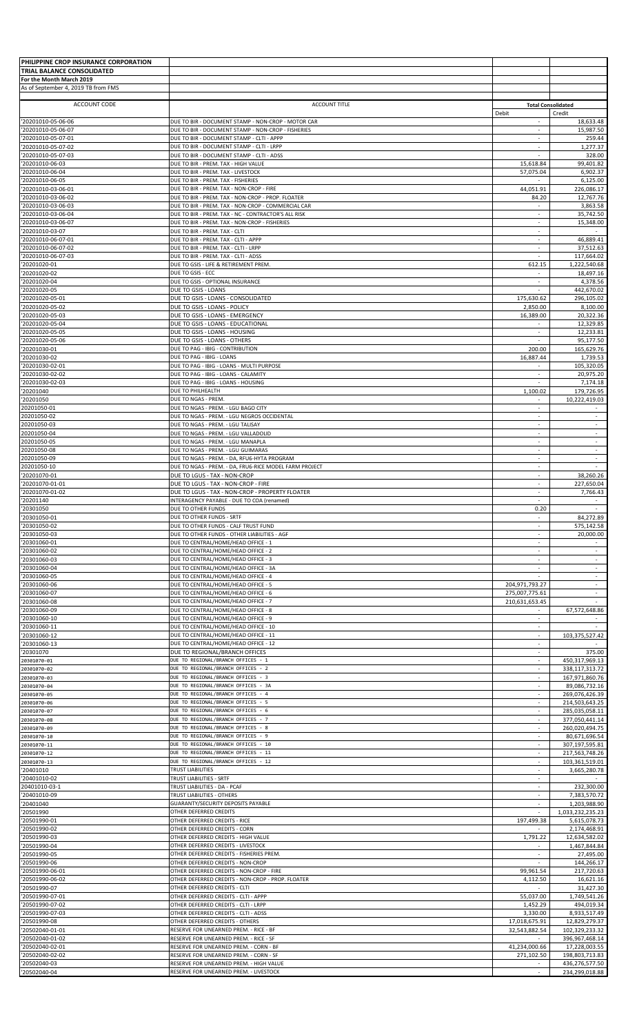| PHILIPPINE CROP INSURANCE CORPORATION    |                                                                                                       |                                    |                                  |
|------------------------------------------|-------------------------------------------------------------------------------------------------------|------------------------------------|----------------------------------|
| TRIAL BALANCE CONSOLIDATED               |                                                                                                       |                                    |                                  |
| For the Month March 2019                 |                                                                                                       |                                    |                                  |
| As of September 4, 2019 TB from FMS      |                                                                                                       |                                    |                                  |
|                                          |                                                                                                       |                                    |                                  |
| ACCOUNT CODE                             | <b>ACCOUNT TITLE</b>                                                                                  | <b>Total Consolidated</b>          |                                  |
| '20201010-05-06-06                       | DUE TO BIR - DOCUMENT STAMP - NON-CROP - MOTOR CAR                                                    | Debit<br>÷.                        | Credit<br>18,633.48              |
| '20201010-05-06-07                       | DUE TO BIR - DOCUMENT STAMP - NON-CROP - FISHERIES                                                    | $\sim$                             | 15,987.50                        |
| '20201010-05-07-01                       | DUE TO BIR - DOCUMENT STAMP - CLTI - APPP                                                             | $\sim$                             | 259.44                           |
| '20201010-05-07-02                       | DUE TO BIR - DOCUMENT STAMP - CLTI - LRPP                                                             | $\mathcal{L}$                      | 1,277.37                         |
| '20201010-05-07-03                       | DUE TO BIR - DOCUMENT STAMP - CLTI - ADSS                                                             | $\overline{\phantom{a}}$           | 328.00                           |
| '20201010-06-03                          | DUE TO BIR - PREM. TAX - HIGH VALUE                                                                   | 15,618.84                          | 99,401.82                        |
| '20201010-06-04                          | DUE TO BIR - PREM. TAX - LIVESTOCK                                                                    | 57,075.04                          | 6,902.37                         |
| '20201010-06-05                          | DUE TO BIR - PREM. TAX - FISHERIES                                                                    |                                    | 6,125.00                         |
| '20201010-03-06-01                       | DUE TO BIR - PREM. TAX - NON-CROP - FIRE<br>DUE TO BIR - PREM. TAX - NON-CROP - PROP. FLOATER         | 44,051.91                          | 226,086.17<br>12,767.76          |
| '20201010-03-06-02<br>'20201010-03-06-03 | DUE TO BIR - PREM. TAX - NON-CROP - COMMERCIAL CAR                                                    | 84.20                              | 3,863.58                         |
| '20201010-03-06-04                       | DUE TO BIR - PREM. TAX - NC - CONTRACTOR'S ALL RISK                                                   | $\sim$                             | 35,742.50                        |
| '20201010-03-06-07                       | DUE TO BIR - PREM. TAX - NON-CROP - FISHERIES                                                         | $\sim$                             | 15,348.00                        |
| '20201010-03-07                          | DUE TO BIR - PREM. TAX - CLTI                                                                         |                                    |                                  |
| '20201010-06-07-01                       | DUE TO BIR - PREM. TAX - CLTI - APPP                                                                  | $\sim$                             | 46,889.41                        |
| '20201010-06-07-02                       | DUE TO BIR - PREM. TAX - CLTI - LRPP                                                                  | $\mathcal{L}$                      | 37,512.63                        |
| '20201010-06-07-03                       | DUE TO BIR - PREM. TAX - CLTI - ADSS                                                                  | $\sim$                             | 117,664.02                       |
| '20201020-01                             | DUE TO GSIS - LIFE & RETIREMENT PREM.                                                                 | 612.15                             | 1,222,540.68                     |
| '20201020-02                             | DUE TO GSIS - ECC                                                                                     | $\omega$                           | 18,497.16                        |
| '20201020-04<br>'20201020-05             | DUE TO GSIS - OPTIONAL INSURANCE<br>DUE TO GSIS - LOANS                                               | $\overline{\phantom{a}}$<br>$\sim$ | 4,378.56<br>442,670.02           |
| '20201020-05-01                          | DUE TO GSIS - LOANS - CONSOLIDATED                                                                    | 175,630.62                         | 296,105.02                       |
| '20201020-05-02                          | DUE TO GSIS - LOANS - POLICY                                                                          | 2,850.00                           | 8,100.00                         |
| '20201020-05-03                          | DUE TO GSIS - LOANS - EMERGENCY                                                                       | 16,389.00                          | 20,322.36                        |
| '20201020-05-04                          | DUE TO GSIS - LOANS - EDUCATIONAL                                                                     | $\sim$                             | 12,329.85                        |
| '20201020-05-05                          | DUE TO GSIS - LOANS - HOUSING                                                                         | $\sim$                             | 12,233.81                        |
| '20201020-05-06                          | DUE TO GSIS - LOANS - OTHERS                                                                          | ×.                                 | 95,177.50                        |
| '20201030-01                             | DUE TO PAG - IBIG - CONTRIBUTION                                                                      | 200.00                             | 165,629.76                       |
| '20201030-02                             | DUE TO PAG - IBIG - LOANS                                                                             | 16,887.44                          | 1,739.53                         |
| '20201030-02-01<br>'20201030-02-02       | DUE TO PAG - IBIG - LOANS - MULTI PURPOSE<br>DUE TO PAG - IBIG - LOANS - CALAMITY                     | $\sim$                             | 105,320.05                       |
| '20201030-02-03                          | DUE TO PAG - IBIG - LOANS - HOUSING                                                                   | $\sim$                             | 20,975.20<br>7,174.18            |
| '20201040                                | DUE TO PHILHEALTH                                                                                     | 1,100.02                           | 179,726.95                       |
| '20201050                                | DUE TO NGAS - PREM.                                                                                   | $\omega$                           | 10,222,419.03                    |
| 20201050-01                              | DUE TO NGAS - PREM. - LGU BAGO CITY                                                                   | $\overline{\phantom{a}}$           |                                  |
| 20201050-02                              | DUE TO NGAS - PREM. - LGU NEGROS OCCIDENTAL                                                           | $\sim$                             | $\sim$                           |
| 20201050-03                              | DUE TO NGAS - PREM. - LGU TALISAY                                                                     |                                    |                                  |
| 20201050-04                              | DUE TO NGAS - PREM. - LGU VALLADOLID                                                                  | $\omega$                           | $\sim$                           |
| 20201050-05                              | DUE TO NGAS - PREM. - LGU MANAPLA                                                                     | $\sim$                             | $\sim$                           |
| 20201050-08                              | DUE TO NGAS - PREM. - LGU GUIMARAS                                                                    | $\sim$                             | $\sim$                           |
| 20201050-09<br>20201050-10               | DUE TO NGAS - PREM. - DA, RFU6-HYTA PROGRAM<br>DUE TO NGAS - PREM. - DA, FRU6-RICE MODEL FARM PROJECT | $\sim$                             | $\sim$                           |
| '20201070-01                             | DUE TO LGUS - TAX - NON-CROP                                                                          | $\sim$                             | 38,260.26                        |
| '20201070-01-01                          | DUE TO LGUS - TAX - NON-CROP - FIRE                                                                   | $\overline{\phantom{a}}$           | 227,650.04                       |
| '20201070-01-02                          | DUE TO LGUS - TAX - NON-CROP - PROPERTY FLOATER                                                       | ×.                                 | 7,766.43                         |
| '20201140                                | INTERAGENCY PAYABLE - DUE TO COA (renamed)                                                            | $\mathcal{L}$                      |                                  |
| '20301050                                | DUE TO OTHER FUNDS                                                                                    | 0.20                               | $\sim$                           |
| '20301050-01                             | DUE TO OTHER FUNDS - SRTF                                                                             |                                    | 84,272.89                        |
| '20301050-02                             | DUE TO OTHER FUNDS - CALF TRUST FUND                                                                  | ×.                                 | 575,142.58                       |
| '20301050-03<br>'20301060-01             | DUE TO OTHER FUNDS - OTHER LIABILITIES - AGF<br>DUE TO CENTRAL/HOME/HEAD OFFICE - 1                   | $\overline{\phantom{a}}$<br>$\sim$ | 20,000.00                        |
| '20301060-02                             | DUE TO CENTRAL/HOME/HEAD OFFICE - 2                                                                   |                                    |                                  |
| '20301060-03                             | DUE TO CENTRAL/HOME/HEAD OFFICE - 3                                                                   | ×.                                 | $\sim$                           |
| '20301060-04                             | DUE TO CENTRAL/HOME/HEAD OFFICE - 3A                                                                  | $\sim$                             |                                  |
| '20301060-05                             | DUE TO CENTRAL/HOME/HEAD OFFICE - 4                                                                   |                                    | $\sim$                           |
| '20301060-06                             | DUE TO CENTRAL/HOME/HEAD OFFICE - 5                                                                   | 204,971,793.27                     |                                  |
| '20301060-07                             | DUE TO CENTRAL/HOME/HEAD OFFICE - 6                                                                   | 275,007,775.61                     | $\sim$                           |
| '20301060-08                             | DUE TO CENTRAL/HOME/HEAD OFFICE - 7                                                                   | 210,631,653.45                     |                                  |
| '20301060-09                             | DUE TO CENTRAL/HOME/HEAD OFFICE - 8                                                                   | ٠                                  | 67,572,648.86                    |
| '20301060-10                             | DUE TO CENTRAL/HOME/HEAD OFFICE - 9                                                                   |                                    |                                  |
| '20301060-11                             | DUE TO CENTRAL/HOME/HEAD OFFICE - 10<br>DUE TO CENTRAL/HOME/HEAD OFFICE - 11                          | ×.                                 |                                  |
| '20301060-12<br>'20301060-13             | DUE TO CENTRAL/HOME/HEAD OFFICE - 12                                                                  | $\sim$                             | 103,375,527.42                   |
| '20301070                                | DUE TO REGIONAL/BRANCH OFFICES                                                                        | $\sim$                             | 375.00                           |
| 20301070-01                              | DUE TO REGIONAL/BRANCH OFFICES - 1                                                                    | $\sim$                             | 450,317,969.13                   |
| 20301070-02                              | DUE TO REGIONAL/BRANCH OFFICES - 2                                                                    | $\sim$                             | 338,117,313.72                   |
| 20301070-03                              | DUE TO REGIONAL/BRANCH OFFICES - 3                                                                    |                                    | 167,971,860.76                   |
| 20301070-04                              | DUE TO REGIONAL/BRANCH OFFICES - 3A                                                                   | $\omega$                           | 89,086,732.16                    |
| 20301070-05                              | DUE TO REGIONAL/BRANCH OFFICES - 4                                                                    |                                    | 269,076,426.39                   |
| 20301070-06                              | DUE TO REGIONAL/BRANCH OFFICES - 5                                                                    | $\sim$                             | 214,503,643.25                   |
| 20301070-07                              | DUE TO REGIONAL/BRANCH OFFICES - 6<br>DUE TO REGIONAL/BRANCH OFFICES - 7                              | $\sim$                             | 285,035,058.11<br>377,050,441.14 |
| 20301070-08<br>20301070-09               | DUE TO REGIONAL/BRANCH OFFICES - 8                                                                    | $\sim$                             | 260,020,494.75                   |
| 20301070-10                              | DUE TO REGIONAL/BRANCH OFFICES - 9                                                                    |                                    | 80,671,696.54                    |
| 20301070-11                              | DUE TO REGIONAL/BRANCH OFFICES - 10                                                                   | $\sim$                             | 307,197,595.81                   |
| 20301070-12                              | DUE TO REGIONAL/BRANCH OFFICES - 11                                                                   | $\sim$                             | 217,563,748.26                   |
| 20301070-13                              | DUE TO REGIONAL/BRANCH OFFICES - 12                                                                   | $\sim$                             | 103,361,519.01                   |
| '20401010                                | <b>TRUST LIABILITIES</b>                                                                              |                                    | 3,665,280.78                     |
| '20401010-02                             | TRUST LIABILITIES - SRTF                                                                              | $\sim$                             |                                  |
| 20401010-03-1                            | TRUST LIABILITIES - DA - PCAF                                                                         | $\overline{\phantom{a}}$<br>$\sim$ | 232,300.00                       |
| '20401010-09<br>20401040                 | TRUST LIABILITIES - OTHERS<br>GUARANTY/SECURITY DEPOSITS PAYABLE                                      |                                    | 7,383,570.72<br>1,203,988.90     |
| '20501990                                | OTHER DEFERRED CREDITS                                                                                | $\sim$                             | 1,033,232,235.23                 |
| '20501990-01                             | OTHER DEFERRED CREDITS - RICE                                                                         | 197,499.38                         | 5,615,078.73                     |
| '20501990-02                             | OTHER DEFERRED CREDITS - CORN                                                                         | $\sim$                             | 2,174,468.91                     |
| '20501990-03                             | OTHER DEFERRED CREDITS - HIGH VALUE                                                                   | 1,791.22                           | 12,634,582.02                    |
| '20501990-04                             | OTHER DEFERRED CREDITS - LIVESTOCK                                                                    |                                    | 1,467,844.84                     |
| '20501990-05                             | OTHER DEFERRED CREDITS - FISHERIES PREM.                                                              | $\sim$                             | 27,495.00                        |
| '20501990-06                             | OTHER DEFERRED CREDITS - NON-CROP                                                                     |                                    | 144,266.17                       |
| '20501990-06-01                          | OTHER DEFERRED CREDITS - NON-CROP - FIRE                                                              | 99,961.54                          | 217,720.63                       |
| '20501990-06-02<br>'20501990-07          | OTHER DEFERRED CREDITS - NON-CROP - PROP. FLOATER<br>OTHER DEFERRED CREDITS - CLTI                    | 4,112.50                           | 16,621.16<br>31,427.30           |
| '20501990-07-01                          | OTHER DEFERRED CREDITS - CLTI - APPP                                                                  | 55,037.00                          | 1,749,541.26                     |
| '20501990-07-02                          | OTHER DEFERRED CREDITS - CLTI - LRPP                                                                  | 1,452.29                           | 494,019.34                       |
| '20501990-07-03                          | OTHER DEFERRED CREDITS - CLTI - ADSS                                                                  | 3,330.00                           | 8,933,517.49                     |
| '20501990-08                             | OTHER DEFERRED CREDITS - OTHERS                                                                       | 17,018,675.91                      | 12,829,279.37                    |
| '20502040-01-01                          | RESERVE FOR UNEARNED PREM. - RICE - BF                                                                | 32,543,882.54                      | 102,329,233.32                   |
| '20502040-01-02                          | RESERVE FOR UNEARNED PREM. - RICE - SF                                                                |                                    | 396,967,468.14                   |
| '20502040-02-01                          | RESERVE FOR UNEARNED PREM. - CORN - BF                                                                | 41,234,000.66                      | 17,228,003.55                    |
| '20502040-02-02<br>'20502040-03          | RESERVE FOR UNEARNED PREM. - CORN - SF<br>RESERVE FOR UNEARNED PREM. - HIGH VALUE                     | 271,102.50                         | 198,803,713.83<br>436,276,577.50 |
| '20502040-04                             | RESERVE FOR UNEARNED PREM. - LIVESTOCK                                                                | $\sim$                             | 234,299,018.88                   |
|                                          |                                                                                                       |                                    |                                  |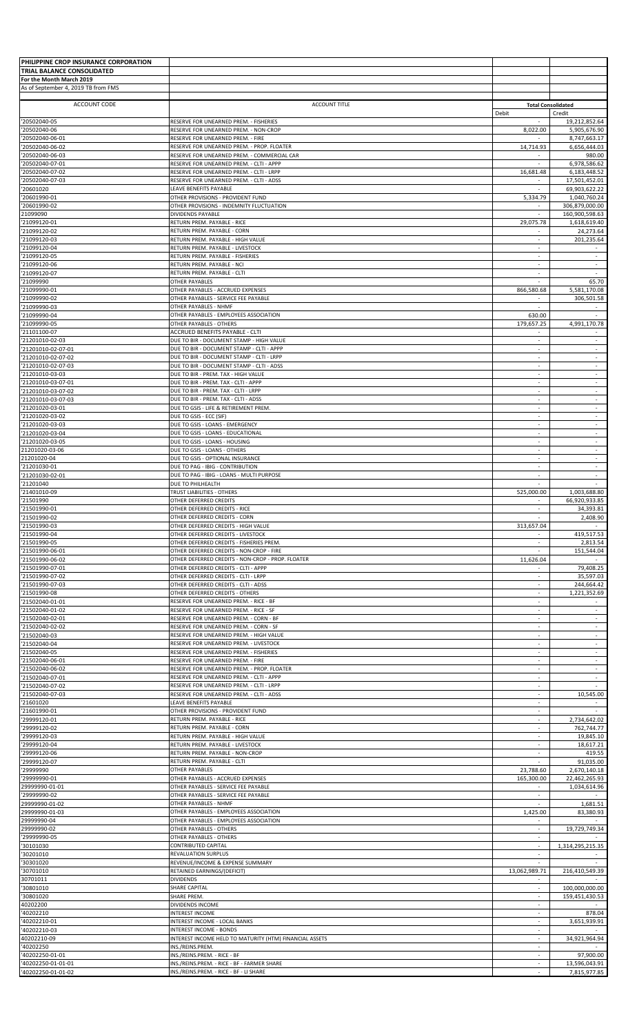| PHILIPPINE CROP INSURANCE CORPORATION    |                                                                                           |                                    |                                     |
|------------------------------------------|-------------------------------------------------------------------------------------------|------------------------------------|-------------------------------------|
| TRIAL BALANCE CONSOLIDATED               |                                                                                           |                                    |                                     |
| For the Month March 2019                 |                                                                                           |                                    |                                     |
| As of September 4, 2019 TB from FMS      |                                                                                           |                                    |                                     |
| ACCOUNT CODE                             | <b>ACCOUNT TITLE</b>                                                                      |                                    |                                     |
|                                          |                                                                                           | Debit                              | <b>Total Consolidated</b><br>Credit |
| '20502040-05                             | RESERVE FOR UNEARNED PREM. - FISHERIES                                                    |                                    | 19,212,852.64                       |
| '20502040-06                             | RESERVE FOR UNEARNED PREM. - NON-CROP                                                     | 8,022.00                           | 5,905,676.90                        |
| '20502040-06-01                          | RESERVE FOR UNEARNED PREM. - FIRE                                                         |                                    | 8,747,663.17                        |
| '20502040-06-02                          | RESERVE FOR UNEARNED PREM. - PROP. FLOATER                                                | 14,714.93                          | 6,656,444.03                        |
| '20502040-06-03<br>'20502040-07-01       | RESERVE FOR UNEARNED PREM. - COMMERCIAL CAR<br>RESERVE FOR UNEARNED PREM. - CLTI - APPP   | $\sim$                             | 980.00<br>6,978,586.62              |
| '20502040-07-02                          | RESERVE FOR UNEARNED PREM. - CLTI - LRPP                                                  | 16,681.48                          | 6,183,448.52                        |
| '20502040-07-03                          | RESERVE FOR UNEARNED PREM. - CLTI - ADSS                                                  |                                    | 17,501,452.01                       |
| '20601020                                | LEAVE BENEFITS PAYABLE                                                                    |                                    | 69,903,622.22                       |
| '20601990-01                             | OTHER PROVISIONS - PROVIDENT FUND                                                         | 5,334.79                           | 1.040.760.24                        |
| '20601990-02<br>21099090                 | OTHER PROVISIONS - INDEMNITY FLUCTUATION<br>DIVIDENDS PAYABLE                             | $\overline{\phantom{a}}$           | 306,879,000.00<br>160,900,598.63    |
| '21099120-01                             | RETURN PREM. PAYABLE - RICE                                                               | 29,075.78                          | 1,618,619.40                        |
| '21099120-02                             | RETURN PREM. PAYABLE - CORN                                                               |                                    | 24,273.64                           |
| '21099120-03                             | RETURN PREM. PAYABLE - HIGH VALUE                                                         | ×.                                 | 201,235.64                          |
| '21099120-04                             | RETURN PREM. PAYABLE - LIVESTOCK                                                          | $\overline{\phantom{a}}$           |                                     |
| '21099120-05                             | RETURN PREM. PAYABLE - FISHERIES                                                          | $\sim$                             | $\sim$                              |
| '21099120-06<br>'21099120-07             | RETURN PREM. PAYABLE - NCI<br>RETURN PREM. PAYABLE - CLTI                                 | $\sim$<br>$\sim$                   | ÷<br>$\sim$                         |
| '21099990                                | <b>OTHER PAYABLES</b>                                                                     | $\sim$                             | 65.70                               |
| '21099990-01                             | OTHER PAYABLES - ACCRUED EXPENSES                                                         | 866,580.68                         | 5,581,170.08                        |
| '21099990-02                             | OTHER PAYABLES - SERVICE FEE PAYABLE                                                      |                                    | 306,501.58                          |
| '21099990-03                             | OTHER PAYABLES - NHMF                                                                     | $\sim$                             |                                     |
| '21099990-04                             | OTHER PAYABLES - EMPLOYEES ASSOCIATION<br>OTHER PAYABLES - OTHERS                         | 630.00                             | $\sim$                              |
| '21099990-05<br>'21101100-07             | ACCRUED BENEFITS PAYABLE - CLTI                                                           | 179,657.25<br>$\sim$               | 4,991,170.78                        |
| '21201010-02-03                          | DUE TO BIR - DOCUMENT STAMP - HIGH VALUE                                                  | $\sim$                             | $\sim$                              |
| '21201010-02-07-01                       | DUE TO BIR - DOCUMENT STAMP - CLTI - APPP                                                 | $\sim$                             | $\sim$                              |
| '21201010-02-07-02                       | DUE TO BIR - DOCUMENT STAMP - CLTI - LRPP                                                 |                                    |                                     |
| '21201010-02-07-03                       | DUE TO BIR - DOCUMENT STAMP - CLTI - ADSS                                                 | $\omega$                           | $\sim$                              |
| '21201010-03-03                          | DUE TO BIR - PREM. TAX - HIGH VALUE                                                       | $\sim$                             | $\sim$                              |
| '21201010-03-07-01<br>'21201010-03-07-02 | DUE TO BIR - PREM. TAX - CLTI - APPP<br>DUE TO BIR - PREM. TAX - CLTI - LRPP              | $\sim$                             | $\sim$                              |
| '21201010-03-07-03                       | DUE TO BIR - PREM. TAX - CLTI - ADSS                                                      | ×.                                 | $\sim$                              |
| '21201020-03-01                          | DUE TO GSIS - LIFE & RETIREMENT PREM.                                                     | $\sim$                             | $\sim$                              |
| '21201020-03-02                          | DUE TO GSIS - ECC (SIF)                                                                   |                                    | $\sim$                              |
| '21201020-03-03                          | DUE TO GSIS - LOANS - EMERGENCY                                                           | $\sim$                             | $\blacksquare$                      |
| '21201020-03-04                          | DUE TO GSIS - LOANS - EDUCATIONAL                                                         | $\sim$                             | $\sim$                              |
| '21201020-03-05                          | DUE TO GSIS - LOANS - HOUSING                                                             | $\sim$                             | $\sim$                              |
| 21201020-03-06                           | DUE TO GSIS - LOANS - OTHERS                                                              | $\sim$                             | $\sim$                              |
| 21201020-04<br>'21201030-01              | DUE TO GSIS - OPTIONAL INSURANCE<br>DUE TO PAG - IBIG - CONTRIBUTION                      | $\sim$<br>$\overline{\phantom{a}}$ | ÷<br>$\overline{\phantom{a}}$       |
| '21201030-02-01                          | DUE TO PAG - IBIG - LOANS - MULTI PURPOSE                                                 | $\sim$                             | $\sim$                              |
| '21201040                                | DUE TO PHILHEALTH                                                                         |                                    |                                     |
| '21401010-09                             | TRUST LIABILITIES - OTHERS                                                                | 525,000.00                         | 1,003,688.80                        |
| '21501990                                | OTHER DEFERRED CREDITS                                                                    | $\sim$                             | 66,920,933.85                       |
| '21501990-01                             | OTHER DEFERRED CREDITS - RICE                                                             | $\sim$                             | 34,393.81                           |
| '21501990-02                             | OTHER DEFERRED CREDITS - CORN                                                             |                                    | 2,408.90                            |
| '21501990-03<br>'21501990-04             | OTHER DEFERRED CREDITS - HIGH VALUE                                                       | 313,657.04                         |                                     |
| '21501990-05                             | OTHER DEFERRED CREDITS - LIVESTOCK<br>OTHER DEFERRED CREDITS - FISHERIES PREM             |                                    | 419,517.53<br>2,813.54              |
| '21501990-06-01                          | OTHER DEFERRED CREDITS - NON-CROP - FIRE                                                  |                                    | 151,544.04                          |
| '21501990-06-02                          | OTHER DEFERRED CREDITS - NON-CROP - PROP. FLOATER                                         | 11,626.04                          |                                     |
| '21501990-07-01                          | OTHER DEFERRED CREDITS - CLTI - APPP                                                      | $\sim$                             | 79,408.25                           |
| '21501990-07-02                          | OTHER DEFERRED CREDITS - CLTI - LRPP                                                      |                                    | 35,597.03                           |
| '21501990-07-03                          | OTHER DEFERRED CREDITS - CLTI - ADSS                                                      | $\sim$                             | 244,664.42                          |
| '21501990-08                             | OTHER DEFERRED CREDITS - OTHERS                                                           | $\overline{\phantom{a}}$           | 1,221,352.69                        |
| '21502040-01-01<br>'21502040-01-02       | RESERVE FOR UNEARNED PREM. - RICE - BF<br>RESERVE FOR UNEARNED PREM. - RICE - SF          | $\sim$                             |                                     |
| '21502040-02-01                          | RESERVE FOR UNEARNED PREM. - CORN - BF                                                    | ×.                                 | $\sim$                              |
| '21502040-02-02                          | RESERVE FOR UNEARNED PREM. - CORN - SF                                                    |                                    |                                     |
| '21502040-03                             | RESERVE FOR UNEARNED PREM. - HIGH VALUE                                                   | $\sim$                             | $\sim$                              |
| '21502040-04                             | RESERVE FOR UNEARNED PREM. - LIVESTOCK                                                    |                                    |                                     |
| '21502040-05                             | RESERVE FOR UNEARNED PREM. - FISHERIES                                                    | ×.                                 | $\sim$                              |
| '21502040-06-01                          | RESERVE FOR UNEARNED PREM. - FIRE                                                         | $\sim$                             | $\sim$                              |
| '21502040-06-02<br>'21502040-07-01       | RESERVE FOR UNEARNED PREM. - PROP. FLOATER<br>RESERVE FOR UNEARNED PREM. - CLTI - APPP    | $\sim$                             | ÷.                                  |
| '21502040-07-02                          | RESERVE FOR UNEARNED PREM. - CLTI - LRPP                                                  | $\sim$                             |                                     |
| '21502040-07-03                          | RESERVE FOR UNEARNED PREM. - CLTI - ADSS                                                  | $\sim$                             | 10,545.00                           |
| '21601020                                | LEAVE BENEFITS PAYABLE                                                                    | $\sim$                             |                                     |
| '21601990-01                             | OTHER PROVISIONS - PROVIDENT FUND                                                         | $\sim$                             |                                     |
| '29999120-01                             | RETURN PREM. PAYABLE - RICE                                                               | $\sim$                             | 2,734,642.02                        |
| '29999120-02<br>'29999120-03             | RETURN PREM. PAYABLE - CORN<br>RETURN PREM. PAYABLE - HIGH VALUE                          | $\sim$                             | 762,744.77<br>19,845.10             |
| '29999120-04                             | RETURN PREM. PAYABLE - LIVESTOCK                                                          | ×.                                 | 18,617.21                           |
| '29999120-06                             | RETURN PREM. PAYABLE - NON-CROP                                                           | $\overline{\phantom{a}}$           | 419.55                              |
| '29999120-07                             | RETURN PREM. PAYABLE - CLTI                                                               |                                    | 91,035.00                           |
| '29999990                                | OTHER PAYABLES                                                                            | 23,788.60                          | 2,670,140.18                        |
| '29999990-01                             | OTHER PAYABLES - ACCRUED EXPENSES                                                         | 165,300.00                         | 22,462,265.93                       |
| 29999990-01-01<br>'29999990-02           | OTHER PAYABLES - SERVICE FEE PAYABLE<br>OTHER PAYABLES - SERVICE FEE PAYABLE              | $\sim$                             | 1,034,614.96                        |
| 29999990-01-02                           | OTHER PAYABLES - NHMF                                                                     |                                    | 1,681.51                            |
| 29999990-01-03                           | OTHER PAYABLES - EMPLOYEES ASSOCIATION                                                    | 1,425.00                           | 83,380.93                           |
| 29999990-04                              | OTHER PAYABLES - EMPLOYEES ASSOCIATION                                                    | $\sim$                             |                                     |
| 29999990-02                              | OTHER PAYABLES - OTHERS                                                                   |                                    | 19,729,749.34                       |
| '29999990-05                             | OTHER PAYABLES - OTHERS                                                                   | $\sim$                             |                                     |
| '30101030                                | CONTRIBUTED CAPITAL                                                                       | $\sim$                             | 1,314,295,215.35                    |
| '30201010<br>'30301020                   | REVALUATION SURPLUS<br>REVENUE/INCOME & EXPENSE SUMMARY                                   | $\sim$                             |                                     |
| '30701010                                | RETAINED EARNINGS/(DEFICIT)                                                               | 13,062,989.71                      | 216,410,549.39                      |
| 30701011                                 | <b>DIVIDENDS</b>                                                                          |                                    |                                     |
| '30801010                                | SHARE CAPITAL                                                                             | $\sim$                             | 100,000,000.00                      |
| '30801020                                | SHARE PREM.                                                                               |                                    | 159,451,430.53                      |
| 40202200                                 | DIVIDENDS INCOME                                                                          | ×.                                 |                                     |
| '40202210                                | <b>INTEREST INCOME</b>                                                                    | $\overline{\phantom{a}}$           | 878.04                              |
| '40202210-01                             | INTEREST INCOME - LOCAL BANKS                                                             | $\sim$<br>$\sim$                   | 3,651,939.91                        |
| '40202210-03<br>40202210-09              | <b>INTEREST INCOME - BONDS</b><br>INTEREST INCOME HELD TO MATURITY (HTM) FINANCIAL ASSETS | $\sim$                             | 34,921,964.94                       |
| '40202250                                | INS./REINS.PREM.                                                                          | $\sim$                             |                                     |
| '40202250-01-01                          | INS./REINS.PREM. - RICE - BF                                                              |                                    | 97,900.00                           |
| '40202250-01-01-01                       | INS./REINS.PREM. - RICE - BF - FARMER SHARE                                               |                                    | 13,596,043.91                       |
| '40202250-01-01-02                       | INS./REINS.PREM. - RICE - BF - LI SHARE                                                   | ×.                                 | 7,815,977.85                        |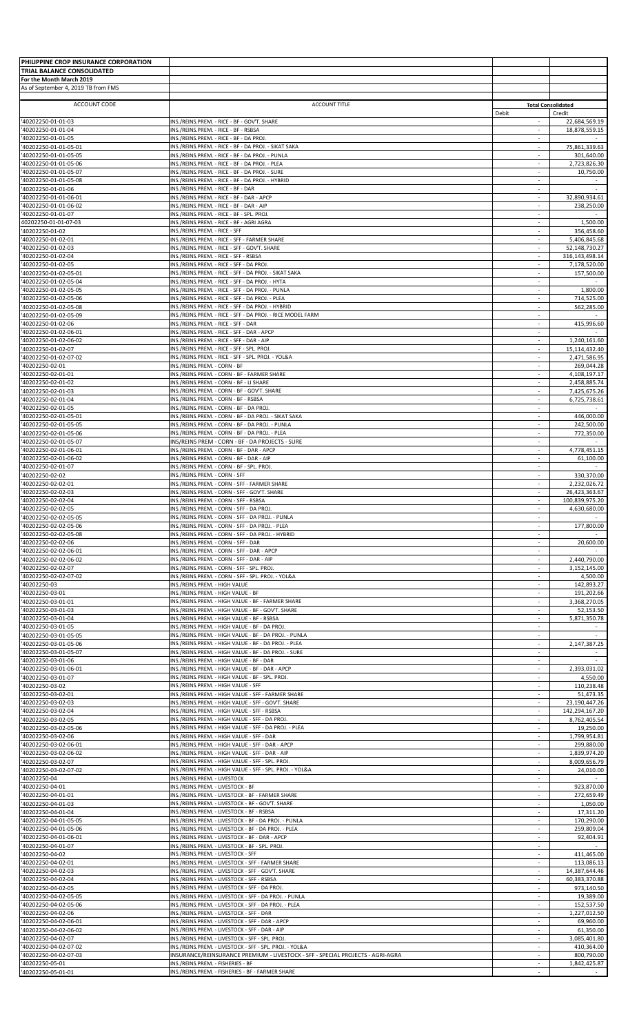| PHILIPPINE CROP INSURANCE CORPORATION          |                                                                                                                                           |                                    |                                     |
|------------------------------------------------|-------------------------------------------------------------------------------------------------------------------------------------------|------------------------------------|-------------------------------------|
| TRIAL BALANCE CONSOLIDATED                     |                                                                                                                                           |                                    |                                     |
| For the Month March 2019                       |                                                                                                                                           |                                    |                                     |
| As of September 4, 2019 TB from FMS            |                                                                                                                                           |                                    |                                     |
|                                                |                                                                                                                                           |                                    |                                     |
| ACCOUNT CODE                                   | <b>ACCOUNT TITLE</b>                                                                                                                      | Debit                              | <b>Total Consolidated</b><br>Credit |
| '40202250-01-01-03                             | INS./REINS.PREM. - RICE - BF - GOV'T. SHARE                                                                                               | ÷                                  | 22,684,569.19                       |
| '40202250-01-01-04                             | INS./REINS.PREM. - RICE - BF - RSBSA                                                                                                      | $\sim$                             | 18,878,559.15                       |
| '40202250-01-01-05                             | INS./REINS.PREM. - RICE - BF - DA PROJ.                                                                                                   | $\overline{\phantom{a}}$           |                                     |
| '40202250-01-01-05-01                          | INS./REINS.PREM. - RICE - BF - DA PROJ. - SIKAT SAKA                                                                                      | $\sim$                             | 75,861,339.63                       |
| '40202250-01-01-05-05                          | INS./REINS.PREM. - RICE - BF - DA PROJ. - PUNLA                                                                                           | $\overline{\phantom{a}}$           | 301,640.00                          |
| '40202250-01-01-05-06                          | INS./REINS.PREM. - RICE - BF - DA PROJ. - PLEA                                                                                            | $\sim$                             | 2,723,826.30                        |
| '40202250-01-01-05-07                          | INS./REINS.PREM. - RICE - BF - DA PROJ. - SURE                                                                                            |                                    | 10,750.00                           |
| '40202250-01-01-05-08                          | INS./REINS.PREM. - RICE - BF - DA PROJ. - HYBRID                                                                                          | $\sim$                             |                                     |
| '40202250-01-01-06<br>'40202250-01-01-06-01    | INS./REINS.PREM. - RICE - BF - DAR<br>INS./REINS.PREM. - RICE - BF - DAR - APCP                                                           | $\overline{\phantom{a}}$<br>$\sim$ | 32,890,934.61                       |
| '40202250-01-01-06-02                          | INS./REINS.PREM. - RICE - BF - DAR - AIP                                                                                                  | ÷.                                 | 238,250.00                          |
| '40202250-01-01-07                             | INS./REINS.PREM. - RICE - BF - SPL. PROJ.                                                                                                 | $\sim$                             |                                     |
| 40202250-01-01-07-03                           | INS./REINS.PREM. - RICE - BF - AGRI AGRA                                                                                                  | $\sim$                             | 1,500.00                            |
| '40202250-01-02                                | INS./REINS.PREM. - RICE - SFF                                                                                                             | $\sim$                             | 356,458.60                          |
| '40202250-01-02-01                             | INS./REINS.PREM. - RICE - SFF - FARMER SHARE                                                                                              | $\sim$                             | 5,406,845.68                        |
| '40202250-01-02-03                             | INS./REINS.PREM. - RICE - SFF - GOV'T. SHARE                                                                                              | $\sim$                             | 52,148,730.27                       |
| '40202250-01-02-04                             | INS./REINS.PREM. - RICE - SFF - RSBSA                                                                                                     | $\sim$                             | 316,143,498.14                      |
| '40202250-01-02-05                             | INS./REINS.PREM. - RICE - SFF - DA PROJ.                                                                                                  | $\overline{\phantom{a}}$           | 7,178,520.00                        |
| '40202250-01-02-05-01                          | INS./REINS.PREM. - RICE - SFF - DA PROJ. - SIKAT SAKA                                                                                     | $\sim$                             | 157,500.00                          |
| '40202250-01-02-05-04                          | INS./REINS.PREM. - RICE - SFF - DA PROJ. - HYTA<br>INS./REINS.PREM. - RICE - SFF - DA PROJ. - PUNLA                                       | $\overline{\phantom{a}}$<br>$\sim$ |                                     |
| '40202250-01-02-05-05<br>'40202250-01-02-05-06 | INS./REINS.PREM. - RICE - SFF - DA PROJ. - PLEA                                                                                           |                                    | 1,800.00<br>714,525.00              |
| '40202250-01-02-05-08                          | INS./REINS.PREM. - RICE - SFF - DA PROJ. - HYBRID                                                                                         | $\sim$                             | 562,285.00                          |
| '40202250-01-02-05-09                          | INS./REINS.PREM. - RICE - SFF - DA PROJ. - RICE MODEL FARM                                                                                | $\overline{\phantom{a}}$           |                                     |
| '40202250-01-02-06                             | INS./REINS.PREM. - RICE - SFF - DAR                                                                                                       | $\sim$                             | 415,996.60                          |
| '40202250-01-02-06-01                          | INS./REINS.PREM. - RICE - SFF - DAR - APCP                                                                                                | $\sim$                             |                                     |
| '40202250-01-02-06-02                          | INS./REINS.PREM. - RICE - SFF - DAR - AIP                                                                                                 | $\sim$                             | 1,240,161.60                        |
| '40202250-01-02-07                             | INS./REINS.PREM. - RICE - SFF - SPL. PROJ                                                                                                 | $\overline{\phantom{a}}$           | 15,114,432.40                       |
| '40202250-01-02-07-02                          | INS./REINS.PREM. - RICE - SFF - SPL. PROJ. - YOL&A                                                                                        | $\sim$                             | 2,471,586.95                        |
| '40202250-02-01                                | INS./REINS.PREM. - CORN - BF                                                                                                              | $\sim$                             | 269,044.28                          |
| '40202250-02-01-01                             | INS./REINS.PREM. - CORN - BF - FARMER SHARE                                                                                               | $\sim$                             | 4,108,197.17                        |
| '40202250-02-01-02                             | INS./REINS.PREM. - CORN - BF - LI SHARE                                                                                                   | $\sim$                             | 2,458,885.74                        |
| '40202250-02-01-03                             | INS./REINS.PREM. - CORN - BF - GOV'T. SHARE                                                                                               |                                    | 7,425,675.26                        |
| '40202250-02-01-04<br>'40202250-02-01-05       | INS./REINS.PREM. - CORN - BF - RSBSA<br>INS./REINS.PREM. - CORN - BF - DA PROJ.                                                           | $\sim$<br>$\overline{\phantom{a}}$ | 6,725,738.61                        |
| '40202250-02-01-05-01                          | INS./REINS.PREM. - CORN - BF - DA PROJ. - SIKAT SAKA                                                                                      | $\sim$                             | 446,000.00                          |
| '40202250-02-01-05-05                          | INS./REINS.PREM. - CORN - BF - DA PROJ. - PUNLA                                                                                           | $\overline{\phantom{a}}$           | 242,500.00                          |
| '40202250-02-01-05-06                          | INS./REINS.PREM. - CORN - BF - DA PROJ. - PLEA                                                                                            | $\sim$                             | 772,350.00                          |
| '40202250-02-01-05-07                          | INS/REINS PREM - CORN - BF - DA PROJECTS - SURE                                                                                           | $\overline{\phantom{a}}$           |                                     |
| '40202250-02-01-06-01                          | INS./REINS.PREM. - CORN - BF - DAR - APCP                                                                                                 | $\sim$                             | 4,778,451.15                        |
| '40202250-02-01-06-02                          | INS./REINS.PREM. - CORN - BF - DAR - AIP                                                                                                  |                                    | 61,100.00                           |
| '40202250-02-01-07                             | INS./REINS.PREM. - CORN - BF - SPL. PROJ.                                                                                                 | $\sim$                             |                                     |
| '40202250-02-02                                | INS./REINS.PREM. - CORN - SFF                                                                                                             | $\sim$                             | 330,370.00                          |
| '40202250-02-02-01                             | INS./REINS.PREM. - CORN - SFF - FARMER SHARE                                                                                              | $\sim$                             | 2,232,026.72                        |
| '40202250-02-02-03                             | INS./REINS.PREM. - CORN - SFF - GOV'T. SHARE                                                                                              | $\sim$                             | 26,423,363.67                       |
| '40202250-02-02-04                             | INS./REINS.PREM. - CORN - SFF - RSBSA                                                                                                     | $\sim$                             | 100,839,975.20                      |
| '40202250-02-02-05<br>'40202250-02-02-05-05    | INS./REINS.PREM. - CORN - SFF - DA PROJ.<br>INS./REINS.PREM. - CORN - SFF - DA PROJ. - PUNLA                                              | $\sim$                             | 4,630,680.00                        |
| '40202250-02-02-05-06                          | INS./REINS.PREM. - CORN - SFF - DA PROJ. - PLEA                                                                                           | $\sim$                             | 177,800.00                          |
| '40202250-02-02-05-08                          | INS./REINS.PREM. - CORN - SFF - DA PROJ. - HYBRID                                                                                         | $\sim$                             |                                     |
| '40202250-02-02-06                             | INS./REINS.PREM. - CORN - SFF - DAR                                                                                                       | $\sim$                             | 20,600.00                           |
| '40202250-02-02-06-01                          | INS./REINS.PREM. - CORN - SFF - DAR - APCP                                                                                                |                                    |                                     |
| '40202250-02-02-06-02                          | INS./REINS.PREM. - CORN - SFF - DAR - AIP                                                                                                 | $\sim$                             | 2,440,790.00                        |
| '40202250-02-02-07                             | INS./REINS.PREM. - CORN - SFF - SPL. PROJ.                                                                                                | $\overline{\phantom{a}}$           | 3,152,145.00                        |
| '40202250-02-02-07-02                          | INS./REINS.PREM. - CORN - SFF - SPL. PROJ. - YOL&A                                                                                        | $\sim$                             | 4,500.00                            |
| '40202250-03                                   | INS./REINS.PREM. - HIGH VALUE                                                                                                             |                                    | 142,893.27                          |
| '40202250-03-01                                | INS./REINS.PREM. - HIGH VALUE - BF                                                                                                        | $\sim$                             | 191,202.66                          |
| '40202250-03-01-01                             | INS./REINS.PREM. - HIGH VALUE - BF - FARMER SHARE                                                                                         | $\sim$                             | 3,368,270.05                        |
| '40202250-03-01-03                             | INS./REINS.PREM. - HIGH VALUE - BF - GOV'T. SHARE                                                                                         | $\sim$                             | 52,153.50                           |
| '40202250-03-01-04                             | INS./REINS.PREM. - HIGH VALUE - BF - RSBSA                                                                                                | $\sim$<br>$\sim$                   | 5,871,350.78                        |
| '40202250-03-01-05                             | INS./REINS.PREM. - HIGH VALUE - BF - DA PROJ.<br>INS./REINS.PREM. - HIGH VALUE - BF - DA PROJ. - PUNLA                                    | $\sim$                             |                                     |
| '40202250-03-01-05-05<br>'40202250-03-01-05-06 | INS./REINS.PREM. - HIGH VALUE - BF - DA PROJ. - PLEA                                                                                      |                                    | 2,147,387.25                        |
| '40202250-03-01-05-07                          | INS./REINS.PREM. - HIGH VALUE - BF - DA PROJ. - SURE                                                                                      | $\sim$                             |                                     |
| '40202250-03-01-06                             | INS./REINS.PREM. - HIGH VALUE - BF - DAR                                                                                                  | $\sim$                             |                                     |
| '40202250-03-01-06-01                          | INS./REINS.PREM. - HIGH VALUE - BF - DAR - APCP                                                                                           | $\sim$                             | 2,393,031.02                        |
| '40202250-03-01-07                             | INS./REINS.PREM. - HIGH VALUE - BF - SPL. PROJ.                                                                                           |                                    | 4,550.00                            |
| '40202250-03-02                                | INS./REINS.PREM. - HIGH VALUE - SFF                                                                                                       | $\sim$                             | 110,238.48                          |
| '40202250-03-02-01                             | INS./REINS.PREM. - HIGH VALUE - SFF - FARMER SHARE                                                                                        | $\overline{\phantom{a}}$           | 51,473.35                           |
| '40202250-03-02-03                             | INS./REINS.PREM. - HIGH VALUE - SFF - GOV'T. SHARE                                                                                        | $\sim$                             | 23,190,447.26                       |
| '40202250-03-02-04                             | INS./REINS.PREM. - HIGH VALUE - SFF - RSBSA                                                                                               |                                    | 142,294,167.20                      |
| '40202250-03-02-05                             | INS./REINS.PREM. - HIGH VALUE - SFF - DA PROJ.                                                                                            | $\sim$                             | 8,762,405.54                        |
| '40202250-03-02-05-06<br>'40202250-03-02-06    | INS./REINS.PREM. - HIGH VALUE - SFF - DA PROJ. - PLEA<br>INS./REINS.PREM. - HIGH VALUE - SFF - DAR                                        | $\overline{\phantom{a}}$           | 19,250.00<br>1,799,954.81           |
| '40202250-03-02-06-01                          | INS./REINS.PREM. - HIGH VALUE - SFF - DAR - APCP                                                                                          | $\sim$                             | 299,880.00                          |
| '40202250-03-02-06-02                          | INS./REINS.PREM. - HIGH VALUE - SFF - DAR - AIP                                                                                           | $\sim$                             | 1,839,974.20                        |
| '40202250-03-02-07                             | INS./REINS.PREM. - HIGH VALUE - SFF - SPL. PROJ.                                                                                          | $\sim$                             | 8,009,656.79                        |
| '40202250-03-02-07-02                          | INS./REINS.PREM. - HIGH VALUE - SFF - SPL. PROJ. - YOL&A                                                                                  | $\sim$                             | 24,010.00                           |
| '40202250-04                                   | INS./REINS.PREM. - LIVESTOCK                                                                                                              |                                    |                                     |
| '40202250-04-01                                | INS./REINS.PREM. - LIVESTOCK - BF                                                                                                         | $\sim$                             | 923,870.00                          |
| '40202250-04-01-01                             | INS./REINS.PREM. - LIVESTOCK - BF - FARMER SHARE                                                                                          | $\sim$                             | 272,659.49                          |
| '40202250-04-01-03                             | INS./REINS.PREM. - LIVESTOCK - BF - GOV'T. SHARE                                                                                          |                                    | 1,050.00                            |
| '40202250-04-01-04                             | INS./REINS.PREM. - LIVESTOCK - BF - RSBSA                                                                                                 | $\sim$                             | 17,311.20                           |
| '40202250-04-01-05-05                          | INS./REINS.PREM. - LIVESTOCK - BF - DA PROJ. - PUNLA                                                                                      | $\overline{\phantom{a}}$           | 170,290.00                          |
| '40202250-04-01-05-06                          | INS./REINS.PREM. - LIVESTOCK - BF - DA PROJ. - PLEA                                                                                       | $\sim$                             | 259,809.04                          |
| '40202250-04-01-06-01                          | INS./REINS.PREM. - LIVESTOCK - BF - DAR - APCP                                                                                            | $\sim$                             | 92,404.91                           |
| '40202250-04-01-07<br>'40202250-04-02          | INS./REINS.PREM. - LIVESTOCK - BF - SPL. PROJ.<br>INS./REINS.PREM. - LIVESTOCK - SFF                                                      | $\overline{\phantom{a}}$           | 411,465.00                          |
| '40202250-04-02-01                             | INS./REINS.PREM. - LIVESTOCK - SFF - FARMER SHARE                                                                                         | $\sim$                             | 113,086.13                          |
| '40202250-04-02-03                             | INS./REINS.PREM. - LIVESTOCK - SFF - GOV'T. SHARE                                                                                         | $\sim$                             | 14,387,644.46                       |
| '40202250-04-02-04                             | INS./REINS.PREM. - LIVESTOCK - SFF - RSBSA                                                                                                | $\sim$                             | 60,383,370.88                       |
| '40202250-04-02-05                             | INS./REINS.PREM. - LIVESTOCK - SFF - DA PROJ.                                                                                             | $\sim$                             | 973,140.50                          |
| '40202250-04-02-05-05                          | INS./REINS.PREM. - LIVESTOCK - SFF - DA PROJ. - PUNLA                                                                                     |                                    | 19,389.00                           |
| '40202250-04-02-05-06                          | INS./REINS.PREM. - LIVESTOCK - SFF - DA PROJ. - PLEA                                                                                      | $\sim$                             | 152,537.50                          |
| '40202250-04-02-06                             | INS./REINS.PREM. - LIVESTOCK - SFF - DAR                                                                                                  | $\sim$                             | 1,227,012.50                        |
| '40202250-04-02-06-01                          | INS./REINS.PREM. - LIVESTOCK - SFF - DAR - APCP                                                                                           | $\sim$                             | 69,960.00                           |
| '40202250-04-02-06-02                          | INS./REINS.PREM. - LIVESTOCK - SFF - DAR - AIP                                                                                            |                                    | 61,350.00                           |
| '40202250-04-02-07                             | INS./REINS.PREM. - LIVESTOCK - SFF - SPL. PROJ.                                                                                           | $\sim$                             | 3,085,401.80                        |
| '40202250-04-02-07-02<br>'40202250-04-02-07-03 | INS./REINS.PREM. - LIVESTOCK - SFF - SPL. PROJ. - YOL&A<br>INSURANCE/REINSURANCE PREMIUM - LIVESTOCK - SFF - SPECIAL PROJECTS - AGRI-AGRA | $\overline{\phantom{a}}$<br>$\sim$ | 410,364.00<br>800,790.00            |
| '40202250-05-01                                | INS./REINS.PREM. - FISHERIES - BF                                                                                                         |                                    | 1,842,425.87                        |
| '40202250-05-01-01                             | INS./REINS.PREM. - FISHERIES - BF - FARMER SHARE                                                                                          | $\sim$                             |                                     |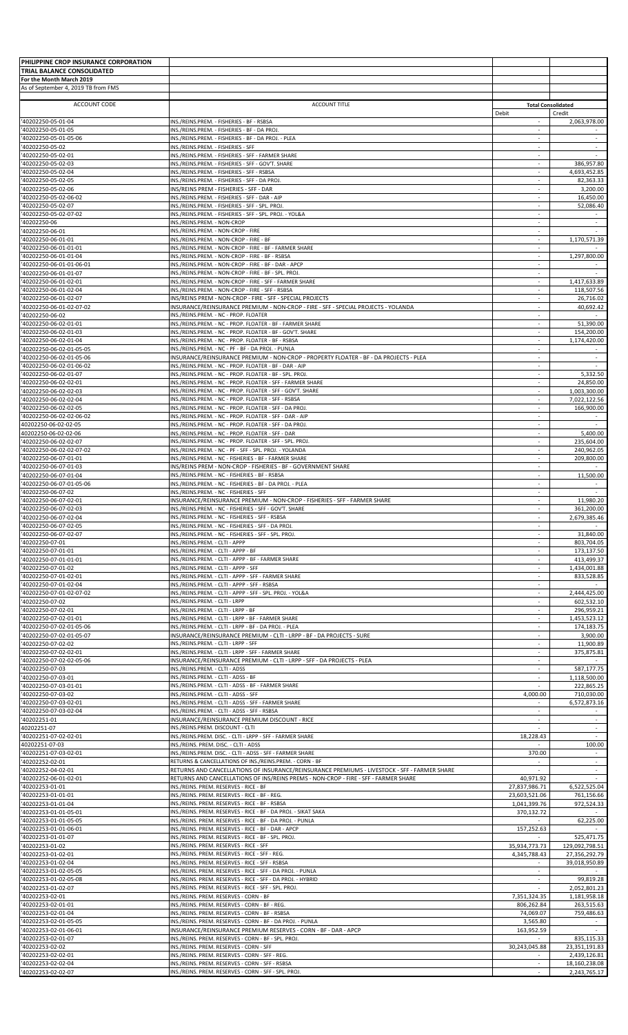| PHILIPPINE CROP INSURANCE CORPORATION                  |                                                                                                                                                                                     |                                           |                                    |
|--------------------------------------------------------|-------------------------------------------------------------------------------------------------------------------------------------------------------------------------------------|-------------------------------------------|------------------------------------|
| TRIAL BALANCE CONSOLIDATED<br>For the Month March 2019 |                                                                                                                                                                                     |                                           |                                    |
| As of September 4, 2019 TB from FMS                    |                                                                                                                                                                                     |                                           |                                    |
| ACCOUNT CODE                                           | <b>ACCOUNT TITLE</b>                                                                                                                                                                |                                           | <b>Total Consolidated</b>          |
| '40202250-05-01-04                                     | INS./REINS.PREM. - FISHERIES - BF - RSBSA                                                                                                                                           | Debit<br>×.                               | Credit<br>2,063,978.00             |
| '40202250-05-01-05<br>'40202250-05-01-05-06            | INS./REINS.PREM. - FISHERIES - BF - DA PROJ.<br>INS./REINS.PREM. - FISHERIES - BF - DA PROJ. - PLEA                                                                                 | $\overline{\phantom{a}}$<br>$\sim$        | $\sim$                             |
| '40202250-05-02                                        | INS./REINS.PREM. - FISHERIES - SFF                                                                                                                                                  | $\sim$                                    | $\omega$                           |
| '40202250-05-02-01<br>'40202250-05-02-03               | INS./REINS.PREM. - FISHERIES - SFF - FARMER SHARE<br>INS./REINS.PREM. - FISHERIES - SFF - GOV'T. SHARE                                                                              | $\sim$<br>$\sim$                          | 386,957.80                         |
| '40202250-05-02-04                                     | INS./REINS.PREM. - FISHERIES - SFF - RSBSA                                                                                                                                          | $\overline{\phantom{a}}$<br>÷.            | 4,693,452.85                       |
| '40202250-05-02-05<br>'40202250-05-02-06               | INS./REINS.PREM. - FISHERIES - SFF - DA PROJ.<br>INS/REINS PREM - FISHERIES - SFF - DAR                                                                                             | $\sim$                                    | 82,363.33<br>3,200.00              |
| '40202250-05-02-06-02<br>'40202250-05-02-07            | INS./REINS.PREM. - FISHERIES - SFF - DAR - AIP<br>INS./REINS.PREM. - FISHERIES - SFF - SPL. PROJ.                                                                                   | $\sim$                                    | 16,450.00<br>52,086.40             |
| '40202250-05-02-07-02                                  | INS./REINS.PREM. - FISHERIES - SFF - SPL. PROJ. - YOL&A                                                                                                                             | $\omega$                                  |                                    |
| '40202250-06<br>'40202250-06-01                        | INS./REINS.PREM. - NON-CROP<br>INS./REINS.PREM. - NON-CROP - FIRE                                                                                                                   | $\overline{\phantom{a}}$<br>$\sim$        | $\sim$                             |
| '40202250-06-01-01                                     | INS./REINS.PREM. - NON-CROP - FIRE - BF                                                                                                                                             | $\overline{\phantom{a}}$                  | 1,170,571.39                       |
| '40202250-06-01-01-01<br>'40202250-06-01-01-04         | INS./REINS.PREM. - NON-CROP - FIRE - BF - FARMER SHARE<br>INS./REINS.PREM. - NON-CROP - FIRE - BF - RSBSA                                                                           | ×.<br>$\overline{\phantom{a}}$            | 1,297,800.00                       |
| '40202250-06-01-01-06-01                               | INS./REINS.PREM. - NON-CROP - FIRE - BF - DAR - APCP                                                                                                                                | ×.                                        |                                    |
| '40202250-06-01-01-07<br>'40202250-06-01-02-01         | INS./REINS.PREM. - NON-CROP - FIRE - BF - SPL. PROJ<br>INS./REINS.PREM. - NON-CROP - FIRE - SFF - FARMER SHARE                                                                      | $\sim$                                    | 1,417,633.89                       |
| '40202250-06-01-02-04<br>40202250-06-01-02-07          | INS./REINS.PREM. - NON-CROP - FIRE - SFF - RSBSA                                                                                                                                    | $\sim$                                    | 118,507.56                         |
| '40202250-06-01-02-07-02                               | INS/REINS PREM - NON-CROP - FIRE - SFF - SPECIAL PROJECTS<br>INSURANCE/REINSURANCE PREMIUM - NON-CROP - FIRE - SFF - SPECIAL PROJECTS - YOLANDA                                     | $\sim$                                    | 26,716.02<br>40,692.42             |
| '40202250-06-02<br>'40202250-06-02-01-01               | INS./REINS.PREM. - NC - PROP. FLOATER<br>INS./REINS.PREM. - NC - PROP. FLOATER - BF - FARMER SHARE                                                                                  | $\sim$<br>$\sim$                          | 51,390.00                          |
| '40202250-06-02-01-03                                  | INS./REINS.PREM. - NC - PROP. FLOATER - BF - GOV'T. SHARE                                                                                                                           | $\overline{\phantom{a}}$                  | 154,200.00                         |
| '40202250-06-02-01-04<br>'40202250-06-02-01-05-05      | INS./REINS.PREM. - NC - PROP. FLOATER - BF - RSBSA<br>INS./REINS.PREM. - NC - PF - BF - DA PROJ. - PUNLA                                                                            | $\mathcal{L}$<br>$\overline{\phantom{a}}$ | 1,174,420.00                       |
| '40202250-06-02-01-05-06                               | INSURANCE/REINSURANCE PREMIUM - NON-CROP - PROPERTY FLOATER - BF - DA PROJECTS - PLEA                                                                                               | $\sim$                                    | $\sim$                             |
| '40202250-06-02-01-06-02<br>'40202250-06-02-01-07      | INS./REINS.PREM. - NC - PROP. FLOATER - BF - DAR - AIP<br>INS./REINS.PREM. - NC - PROP. FLOATER - BF - SPL. PROJ                                                                    | $\mathcal{L}$                             | 5,332.50                           |
| '40202250-06-02-02-01                                  | INS./REINS.PREM. - NC - PROP. FLOATER - SFF - FARMER SHARE                                                                                                                          | $\overline{\phantom{a}}$                  | 24,850.00                          |
| '40202250-06-02-02-03<br>'40202250-06-02-02-04         | INS./REINS.PREM. - NC - PROP. FLOATER - SFF - GOV'T. SHARE<br>INS./REINS.PREM. - NC - PROP. FLOATER - SFF - RSBSA                                                                   | $\sim$<br>÷.                              | 1,003,300.00<br>7,022,122.56       |
| '40202250-06-02-02-05                                  | INS./REINS.PREM. - NC - PROP. FLOATER - SFF - DA PROJ                                                                                                                               | $\sim$                                    | 166,900.00                         |
| '40202250-06-02-02-06-02<br>40202250-06-02-02-05       | INS./REINS.PREM. - NC - PROP. FLOATER - SFF - DAR - AIP<br>INS./REINS.PREM. - NC - PROP. FLOATER - SFF - DA PROJ.                                                                   | $\sim$<br>$\sim$                          |                                    |
| 40202250-06-02-02-06                                   | INS./REINS.PREM. - NC - PROP. FLOATER - SFF - DAR                                                                                                                                   | $\sim$                                    | 5,400.00                           |
| '40202250-06-02-02-07<br>'40202250-06-02-02-07-02      | INS./REINS.PREM. - NC - PROP. FLOATER - SFF - SPL. PROJ.<br>INS./REINS.PREM. - NC - PF - SFF - SPL. PROJ. - YOLANDA                                                                 | $\sim$<br>$\sim$                          | 235,604.00<br>240,962.05           |
| 40202250-06-07-01-01<br>'40202250-06-07-01-03          | INS./REINS.PREM. - NC - FISHERIES - BF - FARMER SHARE<br>INS/REINS PREM - NON-CROP - FISHERIES - BF - GOVERNMENT SHARE                                                              | $\mathcal{L}$                             | 209,800.00                         |
| '40202250-06-07-01-04                                  | INS./REINS.PREM. - NC - FISHERIES - BF - RSBSA                                                                                                                                      | $\overline{\phantom{a}}$                  | 11,500.00                          |
| '40202250-06-07-01-05-06<br>'40202250-06-07-02         | INS./REINS.PREM. - NC - FISHERIES - BF - DA PROJ. - PLEA<br>INS./REINS.PREM. - NC - FISHERIES - SFF                                                                                 | $\sim$                                    | $\sim$                             |
| '40202250-06-07-02-01                                  | INSURANCE/REINSURANCE PREMIUM - NON-CROP - FISHERIES - SFF - FARMER SHARE                                                                                                           | $\mathcal{L}$                             | 11,980.20                          |
| '40202250-06-07-02-03<br>'40202250-06-07-02-04         | INS./REINS.PREM. - NC - FISHERIES - SFF - GOV'T. SHARE<br>INS./REINS.PREM. - NC - FISHERIES - SFF - RSBSA                                                                           | $\sim$<br>$\sim$                          | 361,200.00<br>2,679,385.46         |
| '40202250-06-07-02-05                                  | INS./REINS.PREM. - NC - FISHERIES - SFF - DA PROJ.                                                                                                                                  |                                           |                                    |
| '40202250-06-07-02-07<br>'40202250-07-01               | INS./REINS.PREM. - NC - FISHERIES - SFF - SPL. PROJ.<br>INS./REINS.PREM. - CLTI - APPP                                                                                              | $\sim$<br>$\sim$                          | 31,840.00<br>803,704.05            |
| '40202250-07-01-01                                     | INS./REINS.PREM. - CLTI - APPP - BF                                                                                                                                                 |                                           | 173.137.50                         |
| '40202250-07-01-01-01<br>'40202250-07-01-02            | INS./REINS.PREM. - CLTI - APPP - BF - FARMER SHARE<br>INS./REINS.PREM. - CLTI - APPP - SFF                                                                                          | ×.<br>$\sim$                              | 413,499.37<br>1,434,001.88         |
| '40202250-07-01-02-01                                  | INS./REINS.PREM. - CLTI - APPP - SFF - FARMER SHARE<br>INS./REINS.PREM. - CLTI - APPP - SFF - RSBSA                                                                                 | $\sim$                                    | 833,528.85                         |
| '40202250-07-01-02-04<br>'40202250-07-01-02-07-02      | INS./REINS.PREM. - CLTI - APPP - SFF - SPL. PROJ. - YOL&A                                                                                                                           | $\sim$<br>$\mathcal{L}$                   | 2,444,425.00                       |
| '40202250-07-02<br>'40202250-07-02-01                  | INS./REINS.PREM. - CLTI - LRPP<br>INS./REINS.PREM. - CLTI - LRPP - BF                                                                                                               | $\overline{\phantom{a}}$<br>$\sim$        | 602,532.10<br>296,959.21           |
| '40202250-07-02-01-01                                  | INS./REINS.PREM. - CLTI - LRPP - BF - FARMER SHARE                                                                                                                                  |                                           | 1,453,523.12                       |
| '40202250-07-02-01-05-06<br>'40202250-07-02-01-05-07   | INS./REINS.PREM. - CLTI - LRPP - BF - DA PROJ. - PLEA<br>INSURANCE/REINSURANCE PREMIUM - CLTI - LRPP - BF - DA PROJECTS - SURE                                                      | $\mathcal{L}$<br>$\overline{\phantom{a}}$ | 174,183.75<br>3,900.00             |
| '40202250-07-02-02                                     | INS./REINS.PREM. - CLTI - LRPP - SFF                                                                                                                                                | $\sim$                                    | 11,900.89                          |
| '40202250-07-02-02-01<br>'40202250-07-02-02-05-06      | INS./REINS.PREM. - CLTI - LRPP - SFF - FARMER SHARE<br>INSURANCE/REINSURANCE PREMIUM - CLTI - LRPP - SFF - DA PROJECTS - PLEA                                                       | $\sim$                                    | 375,875.81                         |
| '40202250-07-03                                        | INS./REINS.PREM. - CLTI - ADSS                                                                                                                                                      | $\sim$                                    | 587,177.75                         |
| '40202250-07-03-01<br>'40202250-07-03-01-01            | INS./REINS.PREM. - CLTI - ADSS - BF<br>INS./REINS.PREM. - CLTI - ADSS - BF - FARMER SHARE                                                                                           | $\sim$                                    | 1,118,500.00<br>222,865.25         |
| '40202250-07-03-02                                     | INS./REINS.PREM. - CLTI - ADSS - SFF                                                                                                                                                | 4,000.00                                  | 710,030.00                         |
| '40202250-07-03-02-01<br>'40202250-07-03-02-04         | INS./REINS.PREM. - CLTI - ADSS - SFF - FARMER SHARE<br>INS./REINS.PREM. - CLTI - ADSS - SFF - RSBSA                                                                                 | $\sim$                                    | 6,572,873.16                       |
| '40202251-01<br>40202251-07                            | INSURANCE/REINSURANCE PREMIUM DISCOUNT - RICE<br>INS./REINS.PREM. DISCOUNT - CLTI                                                                                                   | $\mathcal{L}$<br>$\sim$                   | $\sim$<br>$\overline{\phantom{a}}$ |
| '40202251-07-02-02-01                                  | INS./REINS.PREM. DISC. - CLTI - LRPP - SFF - FARMER SHARE                                                                                                                           | 18,228.43                                 |                                    |
| 40202251-07-03<br>'40202251-07-03-02-01                | INS./REINS. PREM. DISC. - CLTI - ADSS<br>INS./REINS.PREM. DISC. - CLTI - ADSS - SFF - FARMER SHARE                                                                                  | 370.00                                    | 100.00                             |
| '40202252-02-01                                        | RETURNS & CANCELLATIONS OF INS./REINS.PREM. - CORN - BF                                                                                                                             | $\sim$                                    |                                    |
| '40202252-04-02-01<br>'40202252-06-01-02-01            | RETURNS AND CANCELLATIONS OF INSURANCE/REINSURANCE PREMIUMS - LIVESTOCK - SFF - FARMER SHARE<br>RETURNS AND CANCELLATIONS OF INS/REINS PREMS - NON-CROP - FIRE - SFF - FARMER SHARE | 40,971.92                                 | $\sim$                             |
| '40202253-01-01                                        | INS./REINS. PREM. RESERVES - RICE - BF                                                                                                                                              | 27,837,986.71                             | 6,522,525.04                       |
| '40202253-01-01-01<br>'40202253-01-01-04               | INS./REINS. PREM. RESERVES - RICE - BF - REG.<br>INS./REINS. PREM. RESERVES - RICE - BF - RSBSA                                                                                     | 23,603,521.06<br>1,041,399.76             | 761,156.66<br>972,524.33           |
| '40202253-01-01-05-01                                  | INS./REINS. PREM. RESERVES - RICE - BF - DA PROJ. - SIKAT SAKA                                                                                                                      | 370,132.72                                |                                    |
| '40202253-01-01-05-05<br>'40202253-01-01-06-01         | INS./REINS. PREM. RESERVES - RICE - BF - DA PROJ. - PUNLA<br>INS./REINS. PREM. RESERVES - RICE - BF - DAR - APCP                                                                    | 157,252.63                                | 62,225.00                          |
| '40202253-01-01-07<br>'40202253-01-02                  | INS./REINS. PREM. RESERVES - RICE - BF - SPL. PROJ.<br>INS./REINS. PREM. RESERVES - RICE - SFF                                                                                      | 35,934,773.73                             | 525,471.75                         |
| '40202253-01-02-01                                     | INS./REINS. PREM. RESERVES - RICE - SFF - REG.                                                                                                                                      | 4,345,788.43                              | 129,092,798.51<br>27,356,292.79    |
| '40202253-01-02-04<br>'40202253-01-02-05-05            | INS./REINS. PREM. RESERVES - RICE - SFF - RSBSA<br>INS./REINS. PREM. RESERVES - RICE - SFF - DA PROJ. - PUNLA                                                                       | $\sim$                                    | 39,018,950.89                      |
| '40202253-01-02-05-08                                  | INS./REINS. PREM. RESERVES - RICE - SFF - DA PROJ. - HYBRID                                                                                                                         | ×.                                        | 99,819.28                          |
| '40202253-01-02-07<br>'40202253-02-01                  | INS./REINS. PREM. RESERVES - RICE - SFF - SPL. PROJ.<br>INS./REINS. PREM. RESERVES - CORN - BF                                                                                      | 7,351,324.35                              | 2,052,801.23<br>1,181,958.18       |
| '40202253-02-01-01                                     | INS./REINS. PREM. RESERVES - CORN - BF - REG.                                                                                                                                       | 806,262.84                                | 263,515.63                         |
| '40202253-02-01-04<br>'40202253-02-01-05-05            | INS./REINS. PREM. RESERVES - CORN - BF - RSBSA<br>INS./REINS. PREM. RESERVES - CORN - BF - DA PROJ. - PUNLA                                                                         | 74,069.07<br>3,565.80                     | 759,486.63                         |
| '40202253-02-01-06-01                                  | INSURANCE/REINSURANCE PREMIUM RESERVES - CORN - BF - DAR - APCP                                                                                                                     | 163,952.59                                |                                    |
| '40202253-02-01-07<br>'40202253-02-02                  | INS./REINS. PREM. RESERVES - CORN - BF - SPL. PROJ.<br>INS./REINS. PREM. RESERVES - CORN - SFF                                                                                      | 30,243,045.88                             | 835,115.33<br>23,351,191.83        |
| '40202253-02-02-01<br>'40202253-02-02-04               | INS./REINS. PREM. RESERVES - CORN - SFF - REG.<br>INS./REINS. PREM. RESERVES - CORN - SFF - RSBSA                                                                                   | $\sim$                                    | 2,439,126.81<br>18,160,238.08      |
| '40202253-02-02-07                                     | INS./REINS. PREM. RESERVES - CORN - SFF - SPL. PROJ.                                                                                                                                | $\sim$                                    | 2,243,765.17                       |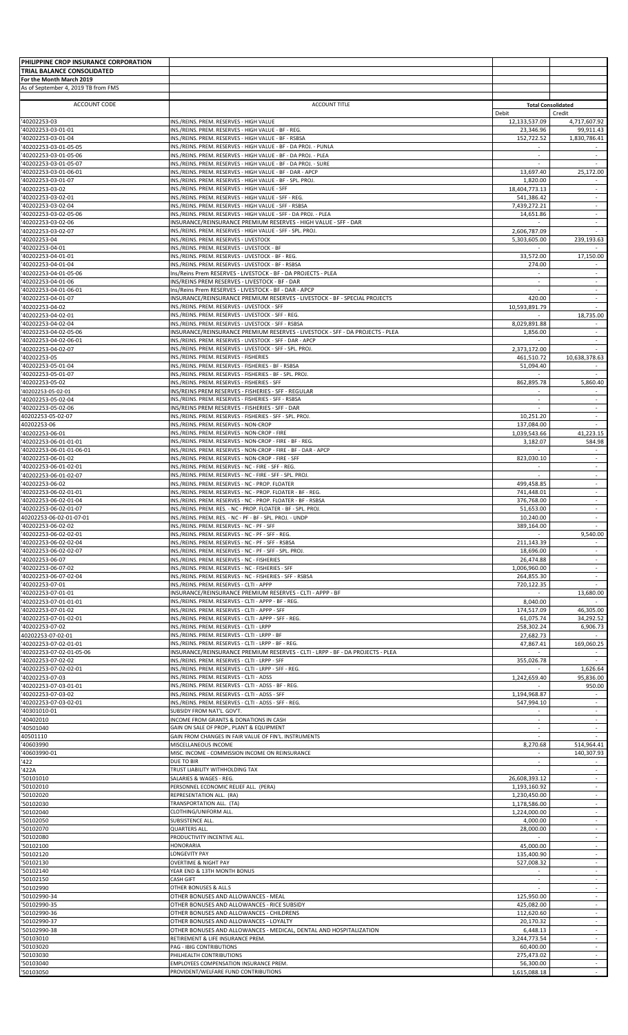| PHILIPPINE CROP INSURANCE CORPORATION         |                                                                                                                                     |                               |                                      |
|-----------------------------------------------|-------------------------------------------------------------------------------------------------------------------------------------|-------------------------------|--------------------------------------|
| TRIAL BALANCE CONSOLIDATED                    |                                                                                                                                     |                               |                                      |
| For the Month March 2019                      |                                                                                                                                     |                               |                                      |
| As of September 4, 2019 TB from FMS           |                                                                                                                                     |                               |                                      |
| ACCOUNT CODE                                  | <b>ACCOUNT TITLE</b>                                                                                                                | <b>Total Consolidated</b>     |                                      |
|                                               |                                                                                                                                     | Debit                         | Credit                               |
| '40202253-03                                  | INS./REINS. PREM. RESERVES - HIGH VALUE                                                                                             | 12,133,537.09                 | 4,717,607.92                         |
| '40202253-03-01-01<br>'40202253-03-01-04      | INS./REINS. PREM. RESERVES - HIGH VALUE - BF - REG.<br>INS./REINS. PREM. RESERVES - HIGH VALUE - BF - RSBSA                         | 23,346.96<br>152,722.52       | 99,911.43<br>1,830,786.41            |
| '40202253-03-01-05-05                         | INS./REINS. PREM. RESERVES - HIGH VALUE - BF - DA PROJ. - PUNLA                                                                     | ÷                             |                                      |
| '40202253-03-01-05-06                         | INS./REINS. PREM. RESERVES - HIGH VALUE - BF - DA PROJ. - PLEA                                                                      | $\overline{\phantom{a}}$      | $\overline{\phantom{a}}$             |
| '40202253-03-01-05-07                         | INS./REINS. PREM. RESERVES - HIGH VALUE - BF - DA PROJ. - SURE                                                                      |                               |                                      |
| '40202253-03-01-06-01                         | INS./REINS. PREM. RESERVES - HIGH VALUE - BF - DAR - APCP                                                                           | 13,697.40                     | 25,172.00                            |
| '40202253-03-01-07<br>'40202253-03-02         | INS./REINS. PREM. RESERVES - HIGH VALUE - BF - SPL. PROJ.<br>INS./REINS. PREM. RESERVES - HIGH VALUE - SFF                          | 1,820.00<br>18,404,773.13     |                                      |
| '40202253-03-02-01                            | INS./REINS. PREM. RESERVES - HIGH VALUE - SFF - REG.                                                                                | 541,386.42                    | $\sim$                               |
| '40202253-03-02-04                            | INS./REINS. PREM. RESERVES - HIGH VALUE - SFF - RSBSA                                                                               | 7,439,272.21                  | ÷                                    |
| '40202253-03-02-05-06                         | INS./REINS. PREM. RESERVES - HIGH VALUE - SFF - DA PROJ. - PLEA                                                                     | 14,651.86                     | $\omega$                             |
| '40202253-03-02-06                            | INSURANCE/REINSURANCE PREMIUM RESERVES - HIGH VALUE - SFF - DAR                                                                     |                               | $\sim$                               |
| '40202253-03-02-07                            | INS./REINS. PREM. RESERVES - HIGH VALUE - SFF - SPL. PROJ<br>INS./REINS. PREM. RESERVES - LIVESTOCK                                 | 2,606,787.09                  |                                      |
| '40202253-04<br>'40202253-04-01               | INS./REINS. PREM. RESERVES - LIVESTOCK - BF                                                                                         | 5,303,605.00                  | 239,193.63                           |
| '40202253-04-01-01                            | INS./REINS. PREM. RESERVES - LIVESTOCK - BF - REG.                                                                                  | 33,572.00                     | 17,150.00                            |
| '40202253-04-01-04                            | INS./REINS. PREM. RESERVES - LIVESTOCK - BF - RSBSA                                                                                 | 274.00                        |                                      |
| '40202253-04-01-05-06                         | Ins/Reins Prem RESERVES - LIVESTOCK - BF - DA PROJECTS - PLEA                                                                       | $\sim$                        | $\sim$                               |
| '40202253-04-01-06                            | INS/REINS PREM RESERVES - LIVESTOCK - BF - DAR                                                                                      | $\sim$                        |                                      |
| '40202253-04-01-06-01<br>'40202253-04-01-07   | Ins/Reins Prem RESERVES - LIVESTOCK - BF - DAR - APCP<br>INSURANCE/REINSURANCE PREMIUM RESERVES - LIVESTOCK - BF - SPECIAL PROJECTS | $\sim$<br>420.00              | $\sim$                               |
| '40202253-04-02                               | INS./REINS. PREM. RESERVES - LIVESTOCK - SFF                                                                                        | 10,593,891.79                 | $\sim$                               |
| '40202253-04-02-01                            | INS./REINS. PREM. RESERVES - LIVESTOCK - SFF - REG.                                                                                 |                               | 18,735.00                            |
| '40202253-04-02-04                            | INS./REINS. PREM. RESERVES - LIVESTOCK - SFF - RSBSA                                                                                | 8,029,891.88                  | $\sim$                               |
| '40202253-04-02-05-06                         | INSURANCE/REINSURANCE PREMIUM RESERVES - LIVESTOCK - SFF - DA PROJECTS - PLEA                                                       | 1,856.00                      | ÷                                    |
| '40202253-04-02-06-01                         | INS./REINS. PREM. RESERVES - LIVESTOCK - SFF - DAR - APCP                                                                           | $\sim$                        | $\sim$                               |
| '40202253-04-02-07<br>'40202253-05            | INS./REINS. PREM. RESERVES - LIVESTOCK - SFF - SPL. PROJ.<br>INS./REINS. PREM. RESERVES - FISHERIES                                 | 2,373,172.00<br>461,510.72    | 10,638,378.63                        |
| '40202253-05-01-04                            | INS./REINS. PREM. RESERVES - FISHERIES - BF - RSBSA                                                                                 | 51,094.40                     |                                      |
| '40202253-05-01-07                            | INS./REINS. PREM. RESERVES - FISHERIES - BF - SPL. PROJ.                                                                            |                               |                                      |
| '40202253-05-02                               | INS./REINS. PREM. RESERVES - FISHERIES - SFF                                                                                        | 862,895.78                    | 5,860.40                             |
| 40202253-05-02-01                             | INS/REINS PREM RESERVES - FISHERIES - SFF - REGULAR                                                                                 |                               |                                      |
| '40202253-05-02-04<br>'40202253-05-02-06      | INS./REINS. PREM. RESERVES - FISHERIES - SFF - RSBSA<br>INS/REINS PREM RESERVES - FISHERIES - SFF - DAR                             | $\sim$                        | $\omega$<br>$\overline{\phantom{a}}$ |
| 40202253-05-02-07                             | INS./REINS. PREM. RESERVES - FISHERIES - SFF - SPL. PROJ.                                                                           | 10,251.20                     | $\sim$                               |
| 40202253-06                                   | INS./REINS. PREM. RESERVES - NON-CROP                                                                                               | 137,084.00                    |                                      |
| '40202253-06-01                               | INS./REINS. PREM. RESERVES - NON-CROP - FIRE                                                                                        | 1,039,543.66                  | 41,223.15                            |
| '40202253-06-01-01-01                         | INS./REINS. PREM. RESERVES - NON-CROP - FIRE - BF - REG.                                                                            | 3,182.07                      | 584.98                               |
| '40202253-06-01-01-06-01                      | INS./REINS. PREM. RESERVES - NON-CROP - FIRE - BF - DAR - APCP                                                                      | $\sim$                        | $\sim$                               |
| '40202253-06-01-02<br>'40202253-06-01-02-01   | INS./REINS. PREM. RESERVES - NON-CROP - FIRE - SFF<br>INS./REINS. PREM. RESERVES - NC - FIRE - SFF - REG.                           | 823,030.10<br>$\sim$          | $\omega$                             |
| '40202253-06-01-02-07                         | INS./REINS. PREM. RESERVES - NC - FIRE - SFF - SPL. PROJ.                                                                           | $\sim$                        | $\sim$                               |
| '40202253-06-02                               | INS./REINS. PREM. RESERVES - NC - PROP. FLOATER                                                                                     | 499,458.85                    | $\overline{\phantom{a}}$             |
| '40202253-06-02-01-01                         | INS./REINS. PREM. RESERVES - NC - PROP. FLOATER - BF - REG.                                                                         | 741,448.01                    | $\overline{\phantom{a}}$             |
| '40202253-06-02-01-04                         | INS./REINS. PREM. RESERVES - NC - PROP. FLOATER - BF - RSBSA                                                                        | 376,768.00                    | $\sim$                               |
| '40202253-06-02-01-07                         | INS./REINS. PREM. RES. - NC - PROP. FLOATER - BF - SPL. PROJ.                                                                       | 51,653.00                     | $\sim$                               |
| 40202253-06-02-01-07-01<br>'40202253-06-02-02 | INS./REINS. PREM. RES. - NC - PF - BF - SPL. PROJ. - UNDP<br>INS./REINS. PREM. RESERVES - NC - PF - SFF                             | 10,240.00<br>389,164.00       |                                      |
| '40202253-06-02-02-01                         | INS./REINS. PREM. RESERVES - NC - PF - SFF - REG.                                                                                   |                               | 9,540.00                             |
| '40202253-06-02-02-04                         | INS./REINS. PREM. RESERVES - NC - PF - SFF - RSBSA                                                                                  | 211,143.39                    |                                      |
| '40202253-06-02-02-07                         | INS./REINS. PREM. RESERVES - NC - PF - SFF - SPL. PROJ.                                                                             | 18,696.00                     |                                      |
| '40202253-06-07                               | INS./REINS. PREM. RESERVES - NC - FISHERIES                                                                                         | 26,474.88                     | $\sim$                               |
| '40202253-06-07-02<br>'40202253-06-07-02-04   | INS./REINS. PREM. RESERVES - NC - FISHERIES - SFF<br>INS./REINS. PREM. RESERVES - NC - FISHERIES - SFF - RSBSA                      | 1,006,960.00<br>264,855.30    | ÷<br>$\sim$                          |
| '40202253-07-01                               | INS./REINS. PREM. RESERVES - CLTI - APPP                                                                                            | 720,122.35                    |                                      |
| '40202253-07-01-01                            | INSURANCE/REINSURANCE PREMIUM RESERVES - CLTI - APPP - BF                                                                           |                               | 13,680.00                            |
| '40202253-07-01-01-01                         | INS./REINS. PREM. RESERVES - CLTI - APPP - BF - REG.                                                                                | 8,040.00                      |                                      |
| '40202253-07-01-02                            | INS./REINS. PREM. RESERVES - CLTI - APPP - SFF                                                                                      | 174,517.09                    | 46.305.00                            |
| '40202253-07-01-02-01                         | INS./REINS. PREM. RESERVES - CLTI - APPP - SFF - REG.<br>INS./REINS. PREM. RESERVES - CLTI - LRPP                                   | 61,075.74                     | 34.292.52                            |
| '40202253-07-02<br>40202253-07-02-01          | INS./REINS. PREM. RESERVES - CLTI - LRPP - BF                                                                                       | 258,302.24<br>27,682.73       | 6,906.73                             |
| '40202253-07-02-01-01                         | INS./REINS. PREM. RESERVES - CLTI - LRPP - BF - REG.                                                                                | 47,867.41                     | 169,060.25                           |
| '40202253-07-02-01-05-06                      | INSURANCE/REINSURANCE PREMIUM RESERVES - CLTI - LRPP - BF - DA PROJECTS - PLEA                                                      |                               |                                      |
| '40202253-07-02-02                            | INS./REINS. PREM. RESERVES - CLTI - LRPP - SFF                                                                                      | 355,026.78                    | $\sim$                               |
| '40202253-07-02-02-01                         | INS./REINS. PREM. RESERVES - CLTI - LRPP - SFF - REG.                                                                               |                               | 1,626.64                             |
| '40202253-07-03<br>'40202253-07-03-01-01      | INS./REINS. PREM. RESERVES - CLTI - ADSS<br>INS./REINS. PREM. RESERVES - CLTI - ADSS - BF - REG.                                    | 1,242,659.40                  | 95,836.00<br>950.00                  |
| '40202253-07-03-02                            | INS./REINS. PREM. RESERVES - CLTI - ADSS - SFF                                                                                      | 1,194,968.87                  |                                      |
| '40202253-07-03-02-01                         | INS./REINS. PREM. RESERVES - CLTI - ADSS - SFF - REG.                                                                               | 547,994.10                    | $\sim$                               |
| '40301010-01                                  | SUBSIDY FROM NAT'L. GOV'T.                                                                                                          |                               |                                      |
| '40402010                                     | INCOME FROM GRANTS & DONATIONS IN CASH                                                                                              | $\sim$                        | $\sim$                               |
| '40501040<br>40501110                         | GAIN ON SALE OF PROP., PLANT & EQUIPMENT<br>GAIN FROM CHANGES IN FAIR VALUE OF FIN'L. INSTRUMENTS                                   | $\sim$                        | $\overline{\phantom{a}}$             |
| '40603990                                     | MISCELLANEOUS INCOME                                                                                                                | 8,270.68                      | 514,964.41                           |
| '40603990-01                                  | MISC. INCOME - COMMISSION INCOME ON REINSURANCE                                                                                     | $\sim$                        | 140,307.93                           |
| '422                                          | DUE TO BIR                                                                                                                          | $\sim$                        | $\sim$                               |
| '422A                                         | TRUST LIABILITY WITHHOLDING TAX                                                                                                     |                               | $\sim$                               |
| '50101010<br>'50102010                        | SALARIES & WAGES - REG.                                                                                                             | 26,608,393.12<br>1,193,160.92 | ÷<br>$\overline{\phantom{a}}$        |
| '50102020                                     | PERSONNEL ECONOMIC RELIEF ALL. (PERA)<br>REPRESENTATION ALL. (RA)                                                                   | 1,230,450.00                  | $\sim$                               |
| '50102030                                     | TRANSPORTATION ALL. (TA)                                                                                                            | 1,178,586.00                  |                                      |
| '50102040                                     | CLOTHING/UNIFORM ALL.                                                                                                               | 1,224,000.00                  | $\omega$                             |
| '50102050                                     | SUBSISTENCE ALL.                                                                                                                    | 4,000.00                      | $\overline{\phantom{a}}$             |
| '50102070                                     | QUARTERS ALL.                                                                                                                       | 28,000.00                     | $\sim$                               |
| '50102080<br>'50102100                        | PRODUCTIVITY INCENTIVE ALL<br><b>HONORARIA</b>                                                                                      | 45,000.00                     | $\sim$                               |
| '50102120                                     | LONGEVITY PAY                                                                                                                       | 135,400.90                    | $\overline{\phantom{a}}$             |
| '50102130                                     | <b>OVERTIME &amp; NIGHT PAY</b>                                                                                                     | 527.008.32                    | $\overline{\phantom{a}}$             |
| '50102140                                     | YEAR END & 13TH MONTH BONUS                                                                                                         |                               | ÷                                    |
| '50102150                                     | <b>CASH GIFT</b>                                                                                                                    | $\sim$                        | $\sim$                               |
| '50102990                                     | OTHER BONUSES & ALL.S                                                                                                               | $\sim$                        | $\sim$                               |
| '50102990-34<br>'50102990-35                  | OTHER BONUSES AND ALLOWANCES - MEAL<br>OTHER BONUSES AND ALLOWANCES - RICE SUBSIDY                                                  | 125,950.00<br>425,082.00      | ÷<br>$\blacksquare$                  |
| '50102990-36                                  | OTHER BONUSES AND ALLOWANCES - CHILDRENS                                                                                            | 112,620.60                    | $\sim$                               |
| '50102990-37                                  | OTHER BONUSES AND ALLOWANCES - LOYALTY                                                                                              | 20,170.32                     | $\sim$                               |
| '50102990-38                                  | OTHER BONUSES AND ALLOWANCES - MEDICAL, DENTAL AND HOSPITALIZATION                                                                  | 6,448.13                      |                                      |
| '50103010                                     | RETIREMENT & LIFE INSURANCE PREM.                                                                                                   | 3,244,773.54                  | $\sim$                               |
| '50103020                                     | PAG - IBIG CONTRIBUTIONS                                                                                                            | 60,400.00                     |                                      |
| '50103030<br>'50103040                        | PHILHEALTH CONTRIBUTIONS<br>EMPLOYEES COMPENSATION INSURANCE PREM                                                                   | 275,473.02<br>56,300.00       | $\sim$                               |
| '50103050                                     | PROVIDENT/WELFARE FUND CONTRIBUTIONS                                                                                                | 1,615,088.18                  | $\sim$                               |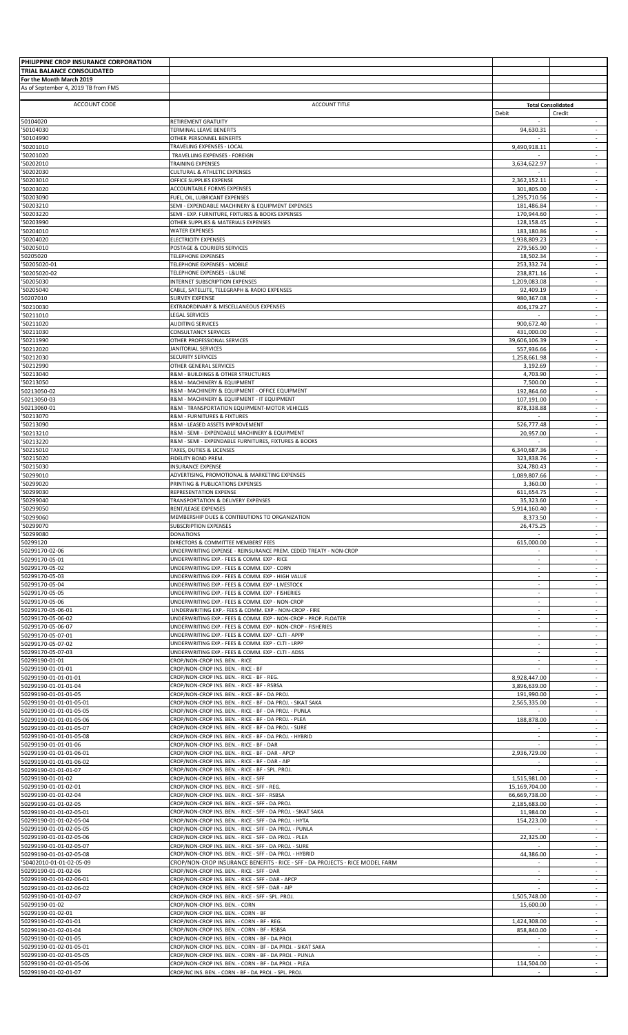| PHILIPPINE CROP INSURANCE CORPORATION                  |                                                                                                                                           |                                    |                                                      |
|--------------------------------------------------------|-------------------------------------------------------------------------------------------------------------------------------------------|------------------------------------|------------------------------------------------------|
| TRIAL BALANCE CONSOLIDATED<br>For the Month March 2019 |                                                                                                                                           |                                    |                                                      |
| As of September 4, 2019 TB from FMS                    |                                                                                                                                           |                                    |                                                      |
| ACCOUNT CODE                                           | <b>ACCOUNT TITLE</b>                                                                                                                      |                                    | <b>Total Consolidated</b>                            |
|                                                        |                                                                                                                                           | Debit                              | Credit                                               |
| 50104020<br>'50104030                                  | RETIREMENT GRATUITY<br>TERMINAL LEAVE BENEFITS                                                                                            | 94,630.31                          | $\overline{\phantom{a}}$<br>$\overline{\phantom{a}}$ |
| '50104990                                              | OTHER PERSONNEL BENEFITS                                                                                                                  |                                    | ÷                                                    |
| '50201010<br>'50201020                                 | TRAVELING EXPENSES - LOCAL<br>TRAVELLING EXPENSES - FOREIGN                                                                               | 9,490,918.11<br>$\sim$             | $\overline{\phantom{a}}$<br>$\sim$                   |
| 50202010                                               | TRAINING EXPENSES                                                                                                                         | 3,634,622.97                       |                                                      |
| '50202030                                              | <b>CULTURAL &amp; ATHLETIC EXPENSES</b>                                                                                                   |                                    | ÷                                                    |
| '50203010<br>'50203020                                 | OFFICE SUPPLIES EXPENSE<br>ACCOUNTABLE FORMS EXPENSES                                                                                     | 2,362,152.11<br>301,805.00         | $\overline{\phantom{a}}$<br>$\sim$                   |
| 50203090                                               | FUEL, OIL, LUBRICANT EXPENSES                                                                                                             | 1,295,710.56                       | $\overline{\phantom{a}}$                             |
| '50203210<br>'50203220                                 | SEMI - EXPENDABLE MACHINERY & EQUIPMENT EXPENSES<br>SEMI - EXP. FURNITURE, FIXTURES & BOOKS EXPENSES                                      | 181,486.84<br>170,944.60           | $\sim$<br>$\overline{\phantom{a}}$                   |
| '50203990                                              | OTHER SUPPLIES & MATERIALS EXPENSES                                                                                                       | 128,158.45                         | $\overline{\phantom{a}}$                             |
| '50204010<br>'50204020                                 | <b>WATER EXPENSES</b><br><b>ELECTRICITY EXPENSES</b>                                                                                      | 183,180.86<br>1,938,809.23         | $\sim$<br>$\overline{\phantom{a}}$                   |
| '50205010                                              | POSTAGE & COURIERS SERVICES                                                                                                               | 279,565.90                         | $\overline{\phantom{a}}$                             |
| 50205020<br>'50205020-01                               | TELEPHONE EXPENSES<br>TELEPHONE EXPENSES - MOBILE                                                                                         | 18,502.34<br>253,332.74            | $\overline{\phantom{a}}$<br>$\sim$                   |
| '50205020-02                                           | TELEPHONE EXPENSES - L&LINE                                                                                                               | 238,871.16                         | $\overline{\phantom{a}}$                             |
| 50205030<br>50205040                                   | INTERNET SUBSCRIPTION EXPENSES<br>CABLE, SATELLITE, TELEGRAPH & RADIO EXPENSES                                                            | 1,209,083.08<br>92,409.19          | $\sim$<br>$\overline{\phantom{a}}$                   |
| 50207010                                               | <b>SURVEY EXPENSE</b>                                                                                                                     | 980,367.08                         | ÷                                                    |
| '50210030                                              | EXTRAORDINARY & MISCELLANEOUS EXPENSES                                                                                                    | 406,179.27                         | $\overline{\phantom{a}}$                             |
| '50211010<br>50211020                                  | <b>LEGAL SERVICES</b><br><b>AUDITING SERVICES</b>                                                                                         | $\sim$<br>900,672.40               | $\sim$<br>$\overline{\phantom{a}}$                   |
| '50211030                                              | <b>CONSULTANCY SERVICES</b>                                                                                                               | 431,000.00                         | $\overline{\phantom{a}}$                             |
| '50211990<br>50212020                                  | OTHER PROFESSIONAL SERVICES<br><b>JANITORIAL SERVICES</b>                                                                                 | 39,606,106.39<br>557,936.66        | $\overline{\phantom{a}}$<br>$\overline{\phantom{a}}$ |
| '50212030                                              | SECURITY SERVICES                                                                                                                         | 1,258,661.98                       | $\overline{\phantom{a}}$                             |
| '50212990<br>'50213040                                 | OTHER GENERAL SERVICES<br>R&M - BUILDINGS & OTHER STRUCTURES                                                                              | 3,192.69<br>4,703.90               | $\sim$<br>$\overline{\phantom{a}}$                   |
| '50213050                                              | R&M - MACHINERY & EQUIPMENT                                                                                                               | 7,500.00                           | $\overline{\phantom{a}}$                             |
| 50213050-02<br>50213050-03                             | R&M - MACHINERY & EQUIPMENT - OFFICE EQUIPMENT<br>R&M - MACHINERY & EQUIPMENT - IT EQUIPMENT                                              | 192,864.60<br>107,191.00           | $\sim$<br>$\overline{\phantom{a}}$                   |
| 50213060-01                                            | R&M - TRANSPORTATION EQUIPMENT-MOTOR VEHICLES                                                                                             | 878,338.88                         | $\sim$                                               |
| 50213070                                               | R&M - FURNITURES & FIXTURES                                                                                                               |                                    | $\overline{\phantom{a}}$<br>$\sim$                   |
| '50213090<br>'50213210                                 | R&M - LEASED ASSETS IMPROVEMENT<br>R&M - SEMI - EXPENDABLE MACHINERY & EQUIPMENT                                                          | 526,777.48<br>20,957.00            | $\overline{\phantom{a}}$                             |
| '50213220                                              | R&M - SEMI - EXPENDABLE FURNITURES, FIXTURES & BOOKS                                                                                      |                                    | $\sim$                                               |
| 50215010<br>'50215020                                  | TAXES, DUTIES & LICENSES<br>FIDELITY BOND PREM.                                                                                           | 6,340,687.36<br>323,838.76         | $\overline{\phantom{a}}$<br>$\sim$                   |
| 50215030                                               | INSURANCE EXPENSE                                                                                                                         | 324,780.43                         | $\overline{\phantom{a}}$                             |
| 50299010<br>'50299020                                  | ADVERTISING, PROMOTIONAL & MARKETING EXPENSES<br>PRINTING & PUBLICATIONS EXPENSES                                                         | 1,089,807.66<br>3,360.00           | $\overline{\phantom{a}}$<br>$\omega$                 |
| '50299030                                              | REPRESENTATION EXPENSE                                                                                                                    | 611,654.75                         | $\overline{\phantom{a}}$                             |
| '50299040<br>'50299050                                 | TRANSPORTATION & DELIVERY EXPENSES<br>RENT/LEASE EXPENSES                                                                                 | 35,323.60<br>5,914,160.40          | $\overline{\phantom{a}}$<br>$\sim$                   |
| '50299060                                              | MEMBERSHIP DUES & CONTIBUTIONS TO ORGANIZATION                                                                                            | 8,373.50                           |                                                      |
| '50299070                                              | <b>SUBSCRIPTION EXPENSES</b><br><b>DONATIONS</b>                                                                                          | 26,475.25                          | $\overline{\phantom{a}}$                             |
| '50299080<br>50299120                                  | DIRECTORS & COMMITTEE MEMBERS' FEES                                                                                                       | 615,000.00                         | $\overline{\phantom{a}}$                             |
| 50299170-02-06                                         | UNDERWRITING EXPENSE - REINSURANCE PREM. CEDED TREATY - NON-CROP                                                                          |                                    | $\sim$                                               |
| 50299170-05-01<br>50299170-05-02                       | UNDERWRITING EXP.- FEES & COMM. EXP - RICE<br>UNDERWRITING EXP.- FEES & COMM. EXP - CORN                                                  | $\sim$                             | $\overline{\phantom{a}}$<br>$\sim$                   |
| 50299170-05-03                                         | UNDERWRITING EXP.- FEES & COMM. EXP - HIGH VALUE                                                                                          |                                    |                                                      |
| 50299170-05-04<br>50299170-05-05                       | UNDERWRITING EXP.- FEES & COMM. EXP - LIVESTOCK<br>UNDERWRITING EXP.- FEES & COMM. EXP - FISHERIES                                        | $\sim$<br>$\overline{\phantom{a}}$ | $\sim$<br>$\overline{\phantom{a}}$                   |
| 50299170-05-06                                         | UNDERWRITING EXP.- FEES & COMM. EXP - NON-CROP                                                                                            | $\sim$                             | $\overline{\phantom{a}}$                             |
| 50299170-05-06-01<br>50299170-05-06-02                 | UNDERWRITING EXP.- FEES & COMM. EXP - NON-CROP - FIRE<br>UNDERWRITING EXP.- FEES & COMM. EXP - NON-CROP - PROP. FLOATER                   | $\sim$<br>$\sim$                   | $\omega$<br>$\sim$                                   |
| 50299170-05-06-07                                      | UNDERWRITING EXP.- FEES & COMM. EXP - NON-CROP - FISHERIES                                                                                | $\sim$                             | $\overline{\phantom{a}}$                             |
| 50299170-05-07-01<br>50299170-05-07-02                 | UNDERWRITING EXP.- FEES & COMM. EXP - CLTI - APPP<br>UNDERWRITING EXP.- FEES & COMM. EXP - CLTI - LRPP                                    | $\sim$<br>÷.                       | $\overline{\phantom{a}}$<br>$\omega$                 |
| 50299170-05-07-03                                      | UNDERWRITING EXP.- FEES & COMM. EXP - CLTI - ADSS                                                                                         | $\sim$                             | ÷                                                    |
| 50299190-01-01                                         | CROP/NON-CROP INS. BEN. - RICE                                                                                                            | $\sim$                             | $\sim$                                               |
| 50299190-01-01-01<br>50299190-01-01-01-01              | CROP/NON-CROP INS. BEN. - RICE - BF<br>CROP/NON-CROP INS. BEN. - RICE - BF - REG.                                                         | 8,928,447.00                       | ÷                                                    |
| 50299190-01-01-01-04                                   | CROP/NON-CROP INS. BEN. - RICE - BF - RSBSA                                                                                               | 3,896,639.00                       | $\overline{\phantom{a}}$                             |
| 50299190-01-01-01-05<br>50299190-01-01-01-05-01        | CROP/NON-CROP INS. BEN. - RICE - BF - DA PROJ.<br>CROP/NON-CROP INS. BEN. - RICE - BF - DA PROJ. - SIKAT SAKA                             | 191,990.00<br>2,565,335.00         | $\sim$                                               |
| 50299190-01-01-01-05-05                                | CROP/NON-CROP INS. BEN. - RICE - BF - DA PROJ. - PUNLA                                                                                    |                                    | ÷                                                    |
| 50299190-01-01-01-05-06<br>50299190-01-01-01-05-07     | CROP/NON-CROP INS. BEN. - RICE - BF - DA PROJ. - PLEA<br>CROP/NON-CROP INS. BEN. - RICE - BF - DA PROJ. - SURE                            | 188,878.00                         | $\overline{\phantom{a}}$<br>$\overline{\phantom{a}}$ |
| 50299190-01-01-01-05-08                                | CROP/NON-CROP INS. BEN. - RICE - BF - DA PROJ. - HYBRID                                                                                   | ÷                                  | ÷                                                    |
| 50299190-01-01-01-06<br>50299190-01-01-01-06-01        | CROP/NON-CROP INS. BEN. - RICE - BF - DAR<br>CROP/NON-CROP INS. BEN. - RICE - BF - DAR - APCP                                             | ×<br>2,936,729.00                  | $\overline{\phantom{a}}$<br>$\sim$                   |
| 50299190-01-01-01-06-02                                | CROP/NON-CROP INS. BEN. - RICE - BF - DAR - AIP                                                                                           |                                    | $\overline{\phantom{a}}$                             |
| 50299190-01-01-01-07<br>50299190-01-01-02              | CROP/NON-CROP INS. BEN. - RICE - BF - SPL. PROJ.<br>CROP/NON-CROP INS. BEN. - RICE - SFF                                                  | 1,515,981.00                       | ÷.<br>$\sim$                                         |
| 50299190-01-01-02-01                                   | CROP/NON-CROP INS. BEN. - RICE - SFF - REG.                                                                                               | 15,169,704.00                      | $\overline{\phantom{a}}$                             |
| 50299190-01-01-02-04<br>50299190-01-01-02-05           | CROP/NON-CROP INS. BEN. - RICE - SFF - RSBSA<br>CROP/NON-CROP INS. BEN. - RICE - SFF - DA PROJ.                                           | 66,669,738.00<br>2,185,683.00      | $\overline{\phantom{a}}$<br>÷                        |
| 50299190-01-01-02-05-01                                | CROP/NON-CROP INS. BEN. - RICE - SFF - DA PROJ. - SIKAT SAKA                                                                              | 11,984.00                          | $\overline{\phantom{a}}$                             |
| 50299190-01-01-02-05-04                                | CROP/NON-CROP INS. BEN. - RICE - SFF - DA PROJ. - HYTA<br>CROP/NON-CROP INS. BEN. - RICE - SFF - DA PROJ. - PUNLA                         | 154,223.00                         | $\sim$                                               |
| 50299190-01-01-02-05-05<br>50299190-01-01-02-05-06     | CROP/NON-CROP INS. BEN. - RICE - SFF - DA PROJ. - PLEA                                                                                    | 22,325.00                          | ÷                                                    |
| 50299190-01-01-02-05-07                                | CROP/NON-CROP INS. BEN. - RICE - SFF - DA PROJ. - SURE                                                                                    |                                    | $\overline{\phantom{a}}$                             |
| 50299190-01-01-02-05-08<br>'50402010-01-01-02-05-09    | CROP/NON-CROP INS. BEN. - RICE - SFF - DA PROJ. - HYBRID<br>CROP/NON-CROP INSURANCE BENEFITS - RICE - SFF - DA PROJECTS - RICE MODEL FARM | 44,386.00                          | $\overline{\phantom{a}}$<br>$\sim$                   |
| 50299190-01-01-02-06                                   | CROP/NON-CROP INS. BEN. - RICE - SFF - DAR                                                                                                | $\sim$                             | $\sim$                                               |
| 50299190-01-01-02-06-01<br>50299190-01-01-02-06-02     | CROP/NON-CROP INS. BEN. - RICE - SFF - DAR - APCP<br>CROP/NON-CROP INS. BEN. - RICE - SFF - DAR - AIP                                     | $\sim$                             | $\overline{\phantom{a}}$<br>$\overline{\phantom{a}}$ |
| 50299190-01-01-02-07                                   | CROP/NON-CROP INS. BEN. - RICE - SFF - SPL. PROJ                                                                                          | 1,505,748.00                       | $\sim$                                               |
| 50299190-01-02<br>50299190-01-02-01                    | CROP/NON-CROP INS. BEN. - CORN<br>CROP/NON-CROP INS. BEN. - CORN - BF                                                                     | 15,600.00<br>$\sim$                | $\overline{\phantom{a}}$<br>$\overline{\phantom{a}}$ |
| 50299190-01-02-01-01                                   | CROP/NON-CROP INS. BEN. - CORN - BF - REG.                                                                                                | 1,424,308.00                       | $\overline{\phantom{a}}$                             |
| 50299190-01-02-01-04<br>50299190-01-02-01-05           | CROP/NON-CROP INS. BEN. - CORN - BF - RSBSA<br>CROP/NON-CROP INS. BEN. - CORN - BF - DA PROJ.                                             | 858,840.00                         | ÷<br>$\overline{\phantom{a}}$                        |
| 50299190-01-02-01-05-01                                | CROP/NON-CROP INS. BEN. - CORN - BF - DA PROJ. - SIKAT SAKA                                                                               | $\sim$                             | $\sim$                                               |
| 50299190-01-02-01-05-05                                | CROP/NON-CROP INS. BEN. - CORN - BF - DA PROJ. - PUNLA<br>CROP/NON-CROP INS. BEN. - CORN - BF - DA PROJ. - PLEA                           | 114,504.00                         | $\sim$                                               |
| 50299190-01-02-01-05-06<br>50299190-01-02-01-07        | CROP/NC INS. BEN. - CORN - BF - DA PROJ. - SPL. PROJ.                                                                                     |                                    | $\overline{\phantom{a}}$                             |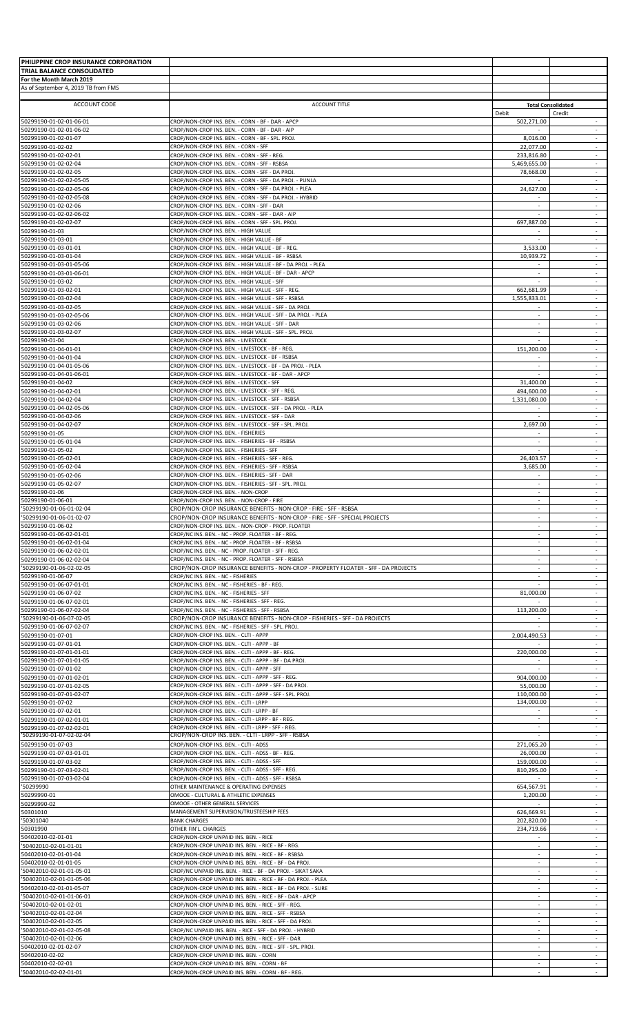| PHILIPPINE CROP INSURANCE CORPORATION               |                                                                                                                       |                                                      |                                                      |
|-----------------------------------------------------|-----------------------------------------------------------------------------------------------------------------------|------------------------------------------------------|------------------------------------------------------|
| TRIAL BALANCE CONSOLIDATED                          |                                                                                                                       |                                                      |                                                      |
| For the Month March 2019                            |                                                                                                                       |                                                      |                                                      |
| As of September 4, 2019 TB from FMS                 |                                                                                                                       |                                                      |                                                      |
|                                                     |                                                                                                                       |                                                      |                                                      |
| <b>ACCOUNT CODE</b>                                 | <b>ACCOUNT TITLE</b>                                                                                                  |                                                      | <b>Total Consolidated</b>                            |
| 50299190-01-02-01-06-01                             | CROP/NON-CROP INS. BEN. - CORN - BF - DAR - APCP                                                                      | Debit<br>502,271.00                                  | Credit<br>$\sim$                                     |
| 50299190-01-02-01-06-02                             | CROP/NON-CROP INS. BEN. - CORN - BF - DAR - AIP                                                                       |                                                      | $\sim$                                               |
| 60299190-01-02-01-07                                | CROP/NON-CROP INS. BEN. - CORN - BF - SPL. PROJ.                                                                      | 8,016.00                                             |                                                      |
| 50299190-01-02-02                                   | CROP/NON-CROP INS. BEN. - CORN - SFF                                                                                  | 22,077.00                                            | $\sim$                                               |
| 50299190-01-02-02-01                                | CROP/NON-CROP INS. BEN. - CORN - SFF - REG.                                                                           | 233,816.80                                           | $\sim$                                               |
| 50299190-01-02-02-04                                | CROP/NON-CROP INS. BEN. - CORN - SFF - RSBSA                                                                          | 5,469,655.00                                         | $\sim$                                               |
| 50299190-01-02-02-05                                | CROP/NON-CROP INS. BEN. - CORN - SFF - DA PROJ.                                                                       | 78,668.00                                            | $\overline{\phantom{a}}$<br>$\sim$                   |
| 50299190-01-02-02-05-05                             | CROP/NON-CROP INS. BEN. - CORN - SFF - DA PROJ. - PUNLA<br>CROP/NON-CROP INS. BEN. - CORN - SFF - DA PROJ. - PLEA     | 24,627.00                                            | $\overline{\phantom{a}}$                             |
| 50299190-01-02-02-05-06<br>50299190-01-02-02-05-08  | CROP/NON-CROP INS. BEN. - CORN - SFF - DA PROJ. - HYBRID                                                              | $\sim$                                               | $\sim$                                               |
| 50299190-01-02-02-06                                | CROP/NON-CROP INS. BEN. - CORN - SFF - DAR                                                                            |                                                      |                                                      |
| 50299190-01-02-02-06-02                             | CROP/NON-CROP INS. BEN. - CORN - SFF - DAR - AIP                                                                      | $\sim$                                               | $\sim$                                               |
| 50299190-01-02-02-07                                | CROP/NON-CROP INS. BEN. - CORN - SFF - SPL. PROJ.                                                                     | 697,887.00                                           | $\sim$                                               |
| 50299190-01-03                                      | CROP/NON-CROP INS. BEN. - HIGH VALUE                                                                                  |                                                      | $\sim$                                               |
| 50299190-01-03-01                                   | CROP/NON-CROP INS. BEN. - HIGH VALUE - BF                                                                             | $\sim$                                               | $\blacksquare$                                       |
| 50299190-01-03-01-01                                | CROP/NON-CROP INS. BEN. - HIGH VALUE - BF - REG.                                                                      | 3,533.00                                             | $\sim$                                               |
| 50299190-01-03-01-04                                | CROP/NON-CROP INS. BEN. - HIGH VALUE - BF - RSBSA                                                                     | 10,939.72                                            | $\sim$                                               |
| 50299190-01-03-01-05-06                             | CROP/NON-CROP INS. BEN. - HIGH VALUE - BF - DA PROJ. - PLEA                                                           |                                                      |                                                      |
| 50299190-01-03-01-06-01                             | CROP/NON-CROP INS. BEN. - HIGH VALUE - BF - DAR - APCP                                                                | $\sim$                                               | $\sim$                                               |
| 50299190-01-03-02                                   | CROP/NON-CROP INS. BEN. - HIGH VALUE - SFF                                                                            |                                                      | $\overline{\phantom{a}}$                             |
| 50299190-01-03-02-01                                | CROP/NON-CROP INS. BEN. - HIGH VALUE - SFF - REG.                                                                     | 662,681.99                                           | $\sim$                                               |
| 60299190-01-03-02-04                                | CROP/NON-CROP INS. BEN. - HIGH VALUE - SFF - RSBSA                                                                    | 1,555,833.01                                         |                                                      |
| 50299190-01-03-02-05<br>50299190-01-03-02-05-06     | CROP/NON-CROP INS. BEN. - HIGH VALUE - SFF - DA PROJ.<br>CROP/NON-CROP INS. BEN. - HIGH VALUE - SFF - DA PROJ. - PLEA | $\overline{\phantom{a}}$                             | $\sim$<br>$\sim$                                     |
| 50299190-01-03-02-06                                | CROP/NON-CROP INS. BEN. - HIGH VALUE - SFF - DAR                                                                      | $\sim$                                               | $\sim$                                               |
| 50299190-01-03-02-07                                | CROP/NON-CROP INS. BEN. - HIGH VALUE - SFF - SPL. PROJ.                                                               | ÷                                                    | $\overline{\phantom{a}}$                             |
| 50299190-01-04                                      | CROP/NON-CROP INS. BEN. - LIVESTOCK                                                                                   | $\omega$                                             | $\sim$                                               |
| 50299190-01-04-01-01                                | CROP/NON-CROP INS. BEN. - LIVESTOCK - BF - REG.                                                                       | 151,200.00                                           | $\sim$                                               |
| 50299190-01-04-01-04                                | CROP/NON-CROP INS. BEN. - LIVESTOCK - BF - RSBSA                                                                      | $\sim$                                               | $\sim$                                               |
| 50299190-01-04-01-05-06                             | CROP/NON-CROP INS. BEN. - LIVESTOCK - BF - DA PROJ. - PLEA                                                            | ÷                                                    | $\omega$                                             |
| 50299190-01-04-01-06-01                             | CROP/NON-CROP INS. BEN. - LIVESTOCK - BF - DAR - APCP                                                                 | ÷                                                    | $\sim$                                               |
| 50299190-01-04-02                                   | CROP/NON-CROP INS. BEN. - LIVESTOCK - SFF                                                                             | 31,400.00                                            | $\sim$                                               |
| 50299190-01-04-02-01                                | CROP/NON-CROP INS. BEN. - LIVESTOCK - SFF - REG.                                                                      | 494,600.00                                           | $\overline{\phantom{a}}$                             |
| 50299190-01-04-02-04                                | CROP/NON-CROP INS. BEN. - LIVESTOCK - SFF - RSBSA                                                                     | 1,331,080.00                                         | ÷.                                                   |
| 50299190-01-04-02-05-06                             | CROP/NON-CROP INS. BEN. - LIVESTOCK - SFF - DA PROJ. - PLEA                                                           | $\overline{\phantom{a}}$                             | $\sim$                                               |
| 50299190-01-04-02-06                                | CROP/NON-CROP INS. BEN. - LIVESTOCK - SFF - DAR                                                                       | $\sim$                                               | $\sim$                                               |
| 50299190-01-04-02-07                                | CROP/NON-CROP INS. BEN. - LIVESTOCK - SFF - SPL. PROJ.<br>CROP/NON-CROP INS. BEN. - FISHERIES                         | 2,697.00<br>÷                                        | $\overline{\phantom{a}}$<br>$\sim$                   |
| 50299190-01-05<br>50299190-01-05-01-04              | CROP/NON-CROP INS. BEN. - FISHERIES - BF - RSBSA                                                                      | $\overline{\phantom{a}}$                             | $\overline{\phantom{a}}$                             |
| 50299190-01-05-02                                   | CROP/NON-CROP INS. BEN. - FISHERIES - SFF                                                                             | $\omega$                                             | $\sim$                                               |
| 50299190-01-05-02-01                                | CROP/NON-CROP INS. BEN. - FISHERIES - SFF - REG.                                                                      | 26,403.57                                            |                                                      |
| 50299190-01-05-02-04                                | CROP/NON-CROP INS. BEN. - FISHERIES - SFF - RSBSA                                                                     | 3,685.00                                             | $\sim$                                               |
| 50299190-01-05-02-06                                | CROP/NON-CROP INS. BEN. - FISHERIES - SFF - DAR                                                                       | $\overline{\phantom{a}}$                             | $\sim$                                               |
| 50299190-01-05-02-07                                | CROP/NON-CROP INS. BEN. - FISHERIES - SFF - SPL. PROJ.                                                                |                                                      | $\sim$                                               |
| 50299190-01-06                                      | CROP/NON-CROP INS. BEN. - NON-CROP                                                                                    | $\sim$                                               | $\overline{\phantom{a}}$                             |
| 50299190-01-06-01                                   | CROP/NON-CROP INS. BEN. - NON-CROP - FIRE                                                                             | $\sim$                                               | $\sim$                                               |
| '50299190-01-06-01-02-04                            | CROP/NON-CROP INSURANCE BENEFITS - NON-CROP - FIRE - SFF - RSBSA                                                      | $\sim$                                               | $\sim$                                               |
| '50299190-01-06-01-02-07                            | CROP/NON-CROP INSURANCE BENEFITS - NON-CROP - FIRE - SFF - SPECIAL PROJECTS                                           |                                                      |                                                      |
| 50299190-01-06-02                                   | CROP/NON-CROP INS. BEN. - NON-CROP - PROP. FLOATER                                                                    | ÷                                                    | $\omega$                                             |
| 50299190-01-06-02-01-01                             | CROP/NC INS. BEN. - NC - PROP. FLOATER - BF - REG.                                                                    | $\overline{\phantom{a}}$<br>$\overline{\phantom{a}}$ | $\overline{\phantom{a}}$<br>$\overline{\phantom{a}}$ |
| 50299190-01-06-02-01-04<br>0299190-01-06-02-02-01-ة | CROP/NC INS. BEN. - NC - PROP. FLOATER - BF - RSBSA<br>CROP/NC INS. BEN. - NC - PROP. FLOATER - SFF - REG.            | $\sim$                                               | $\sim$                                               |
| 50299190-01-06-02-02-04                             | CROP/NC INS. BEN. - NC - PROP. FLOATER - SFF - RSBSA                                                                  | $\sim$                                               | ÷.                                                   |
| '50299190-01-06-02-02-05                            | CROP/NON-CROP INSURANCE BENEFITS - NON-CROP - PROPERTY FLOATER - SFF - DA PROJECTS                                    | $\overline{\phantom{a}}$                             | $\sim$                                               |
| 50299190-01-06-07                                   | CROP/NC INS. BEN. - NC - FISHERIES                                                                                    | $\sim$                                               | $\sim$                                               |
| 60299190-01-06-07-01-01                             | CROP/NC INS. BEN. - NC - FISHERIES - BF - REG.                                                                        |                                                      |                                                      |
| 50299190-01-06-07-02                                | CROP/NC INS. BEN. - NC - FISHERIES - SFF                                                                              | 81,000.00                                            | $\sim$                                               |
| 50299190-01-06-07-02-01                             | CROP/NC INS. BEN. - NC - FISHERIES - SFF - REG.                                                                       |                                                      | $\sim$                                               |
| 50299190-01-06-07-02-04                             | CROP/NC INS. BEN. - NC - FISHERIES - SFF - RSBSA                                                                      | 113,200.00                                           | $\sim$                                               |
| '50299190-01-06-07-02-05                            | CROP/NON-CROP INSURANCE BENEFITS - NON-CROP - FISHERIES - SFF - DA PROJECTS                                           |                                                      | ÷                                                    |
| 50299190-01-06-07-02-07                             | CROP/NC INS. BEN. - NC - FISHERIES - SFF - SPL. PROJ.                                                                 |                                                      | $\overline{\phantom{a}}$                             |
| 50299190-01-07-01                                   | CROP/NON-CROP INS. BEN. - CLTI - APPP                                                                                 | 2,004,490.53                                         | $\overline{\phantom{a}}$                             |
| 50299190-01-07-01-01                                | CROP/NON-CROP INS. BEN. - CLTI - APPP - BF                                                                            |                                                      | $\overline{\phantom{a}}$                             |
| 50299190-01-07-01-01-01                             | CROP/NON-CROP INS. BEN. - CLTI - APPP - BF - REG.                                                                     | 220,000.00                                           | $\omega$                                             |
| 50299190-01-07-01-01-05                             | CROP/NON-CROP INS. BEN. - CLTI - APPP - BF - DA PROJ.                                                                 | $\overline{\phantom{a}}$                             | $\sim$<br>$\sim$                                     |
| 50299190-01-07-01-02<br>0299190-01-07-01-02-01-02   | CROP/NON-CROP INS. BEN. - CLTI - APPP - SFF<br>CROP/NON-CROP INS. BEN. - CLTI - APPP - SFF - REG.                     | 904,000.00                                           |                                                      |
| 50299190-01-07-01-02-05                             | CROP/NON-CROP INS. BEN. - CLTI - APPP - SFF - DA PROJ.                                                                | 55,000.00                                            | $\sim$                                               |
| 50299190-01-07-01-02-07                             | CROP/NON-CROP INS. BEN. - CLTI - APPP - SFF - SPL. PROJ.                                                              | 110,000.00                                           | $\sim$                                               |
| 50299190-01-07-02                                   | CROP/NON-CROP INS. BEN. - CLTI - LRPP                                                                                 | 134,000.00                                           | $\sim$                                               |
| 60299190-01-07-02-01                                | CROP/NON-CROP INS. BEN. - CLTI - LRPP - BF                                                                            |                                                      | $\sim$                                               |
| 50299190-01-07-02-01-01                             | CROP/NON-CROP INS. BEN. - CLTI - LRPP - BF - REG.                                                                     | $\sim$                                               | $\sim$                                               |
| 50299190-01-07-02-02-01                             | CROP/NON-CROP INS. BEN. - CLTI - LRPP - SFF - REG.                                                                    |                                                      | $\overline{\phantom{a}}$                             |
| '50299190-01-07-02-02-04                            | CROP/NON-CROP INS. BEN. - CLTI - LRPP - SFF - RSBSA                                                                   |                                                      | ÷                                                    |
| 50299190-01-07-03                                   | CROP/NON-CROP INS. BEN. - CLTI - ADSS                                                                                 | 271,065.20                                           | $\overline{\phantom{a}}$                             |
| 50299190-01-07-03-01-01                             | CROP/NON-CROP INS. BEN. - CLTI - ADSS - BF - REG.                                                                     | 26,000.00                                            | $\sim$                                               |
| 50299190-01-07-03-02                                | CROP/NON-CROP INS. BEN. - CLTI - ADSS - SFF                                                                           | 159,000.00                                           | $\sim$                                               |
| 50299190-01-07-03-02-01                             | CROP/NON-CROP INS. BEN. - CLTI - ADSS - SFF - REG.                                                                    | 810,295.00                                           | $\sim$                                               |
| 50299190-01-07-03-02-04<br>'50299990                | CROP/NON-CROP INS. BEN. - CLTI - ADSS - SFF - RSBSA<br>OTHER MAINTENANCE & OPERATING EXPENSES                         | 654,567.91                                           | $\overline{\phantom{a}}$<br>$\sim$                   |
| 50299990-01                                         | OMOOE - CULTURAL & ATHLETIC EXPENSES                                                                                  | 1,200.00                                             | $\sim$                                               |
| 60299990-02                                         | OMOOE - OTHER GENERAL SERVICES                                                                                        |                                                      |                                                      |
| 50301010                                            | MANAGEMENT SUPERVISION/TRUSTEESHIP FEES                                                                               | 626,669.91                                           | $\omega$                                             |
| '50301040                                           | <b>BANK CHARGES</b>                                                                                                   | 202,820.00                                           | $\overline{\phantom{a}}$                             |
| 50301990                                            | OTHER FIN'L. CHARGES                                                                                                  | 234,719.66                                           | $\sim$                                               |
| 50402010-02-01-01                                   | CROP/NON-CROP UNPAID INS. BEN. - RICE                                                                                 |                                                      |                                                      |
| '50402010-02-01-01-01                               | CROP/NON-CROP UNPAID INS. BEN. - RICE - BF - REG.                                                                     | $\sim$                                               | $\sim$                                               |
| 50402010-02-01-01-04                                | CROP/NON-CROP UNPAID INS. BEN. - RICE - BF - RSBSA                                                                    |                                                      | $\overline{\phantom{a}}$                             |
| 50402010-02-01-01-05                                | CROP/NON-CROP UNPAID INS. BEN. - RICE - BF - DA PROJ.                                                                 | $\sim$                                               | $\sim$                                               |
| '50402010-02-01-01-05-01                            | CROP/NC UNPAID INS. BEN. - RICE - BF - DA PROJ. - SIKAT SAKA                                                          | ×.                                                   | $\omega$                                             |
| '50402010-02-01-01-05-06                            | CROP/NON-CROP UNPAID INS. BEN. - RICE - BF - DA PROJ. - PLEA                                                          | ÷                                                    | $\overline{\phantom{a}}$                             |
| 50402010-02-01-01-05-07                             | CROP/NON-CROP UNPAID INS. BEN. - RICE - BF - DA PROJ. - SURE                                                          | $\overline{\phantom{a}}$                             | $\overline{\phantom{a}}$                             |
| '50402010-02-01-01-06-01                            | CROP/NON-CROP UNPAID INS. BEN. - RICE - BF - DAR - APCP                                                               | ÷                                                    | $\sim$<br>$\omega$                                   |
| '50402010-02-01-02-01<br>'50402010-02-01-02-04      | CROP/NON-CROP UNPAID INS. BEN. - RICE - SFF - REG.<br>CROP/NON-CROP UNPAID INS. BEN. - RICE - SFF - RSBSA             | $\sim$                                               | $\sim$                                               |
| '50402010-02-01-02-05                               | CROP/NON-CROP UNPAID INS. BEN. - RICE - SFF - DA PROJ.                                                                | $\sim$                                               | $\sim$                                               |
| '50402010-02-01-02-05-08                            | CROP/NC UNPAID INS. BEN. - RICE - SFF - DA PROJ. - HYBRID                                                             |                                                      |                                                      |
| '50402010-02-01-02-06                               | CROP/NON-CROP UNPAID INS. BEN. - RICE - SFF - DAR                                                                     | $\sim$                                               | $\sim$                                               |
| 50402010-02-01-02-07                                | CROP/NON-CROP UNPAID INS. BEN. - RICE - SFF - SPL. PROJ.                                                              |                                                      |                                                      |
| 50402010-02-02                                      | CROP/NON-CROP UNPAID INS. BEN. - CORN                                                                                 | $\sim$                                               | $\sim$                                               |
| 50402010-02-02-01                                   | CROP/NON-CROP UNPAID INS. BEN. - CORN - BF                                                                            |                                                      |                                                      |
| '50402010-02-02-01-01                               | CROP/NON-CROP UNPAID INS. BEN. - CORN - BF - REG.                                                                     | $\sim$                                               | $\sim$                                               |